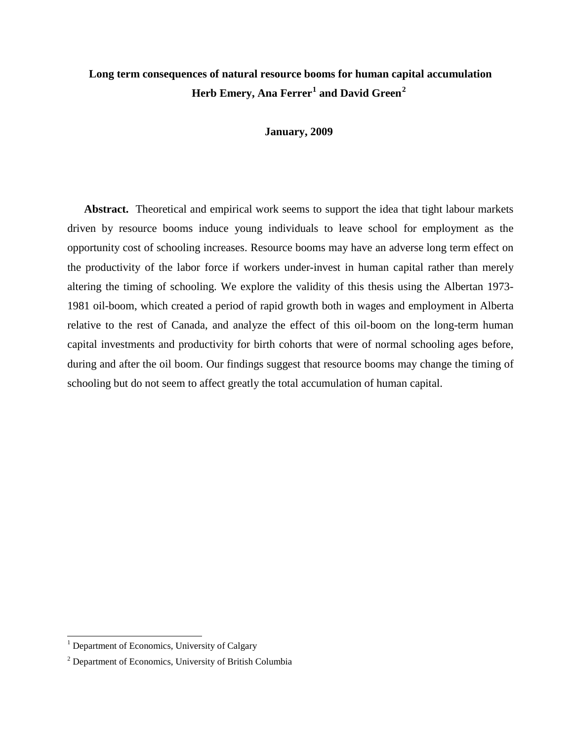# **Long term consequences of natural resource booms for human capital accumulation Herb Emery, Ana Ferrer[1](#page-0-0) and David Green[2](#page-0-1)**

#### **January, 2009**

**Abstract.** Theoretical and empirical work seems to support the idea that tight labour markets driven by resource booms induce young individuals to leave school for employment as the opportunity cost of schooling increases. Resource booms may have an adverse long term effect on the productivity of the labor force if workers under-invest in human capital rather than merely altering the timing of schooling. We explore the validity of this thesis using the Albertan 1973- 1981 oil-boom, which created a period of rapid growth both in wages and employment in Alberta relative to the rest of Canada, and analyze the effect of this oil-boom on the long-term human capital investments and productivity for birth cohorts that were of normal schooling ages before, during and after the oil boom. Our findings suggest that resource booms may change the timing of schooling but do not seem to affect greatly the total accumulation of human capital.

<span id="page-0-0"></span><sup>&</sup>lt;sup>1</sup> Department of Economics, University of Calgary

<span id="page-0-1"></span><sup>2</sup> Department of Economics, University of British Columbia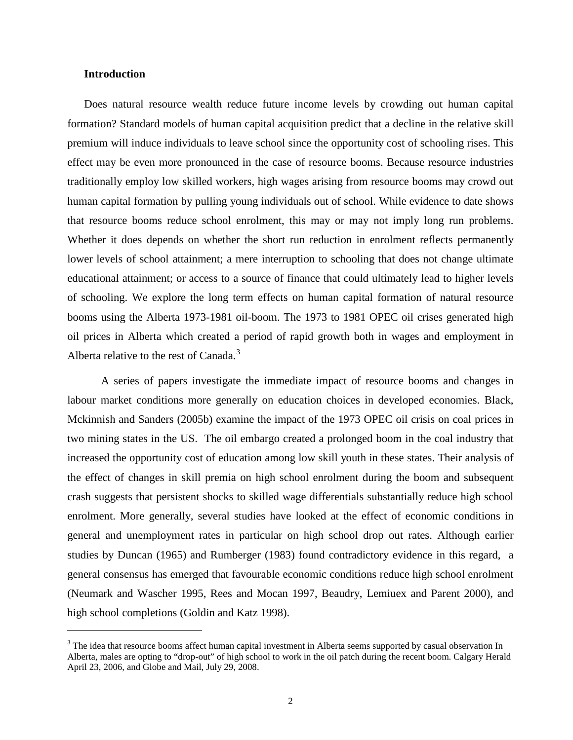### **Introduction**

<span id="page-1-0"></span> $\overline{a}$ 

Does natural resource wealth reduce future income levels by crowding out human capital formation? Standard models of human capital acquisition predict that a decline in the relative skill premium will induce individuals to leave school since the opportunity cost of schooling rises. This effect may be even more pronounced in the case of resource booms. Because resource industries traditionally employ low skilled workers, high wages arising from resource booms may crowd out human capital formation by pulling young individuals out of school. While evidence to date shows that resource booms reduce school enrolment, this may or may not imply long run problems. Whether it does depends on whether the short run reduction in enrolment reflects permanently lower levels of school attainment; a mere interruption to schooling that does not change ultimate educational attainment; or access to a source of finance that could ultimately lead to higher levels of schooling. We explore the long term effects on human capital formation of natural resource booms using the Alberta 1973-1981 oil-boom. The 1973 to 1981 OPEC oil crises generated high oil prices in Alberta which created a period of rapid growth both in wages and employment in Alberta relative to the rest of Canada.<sup>[3](#page-0-0)</sup>

A series of papers investigate the immediate impact of resource booms and changes in labour market conditions more generally on education choices in developed economies. Black, Mckinnish and Sanders (2005b) examine the impact of the 1973 OPEC oil crisis on coal prices in two mining states in the US. The oil embargo created a prolonged boom in the coal industry that increased the opportunity cost of education among low skill youth in these states. Their analysis of the effect of changes in skill premia on high school enrolment during the boom and subsequent crash suggests that persistent shocks to skilled wage differentials substantially reduce high school enrolment. More generally, several studies have looked at the effect of economic conditions in general and unemployment rates in particular on high school drop out rates. Although earlier studies by Duncan (1965) and Rumberger (1983) found contradictory evidence in this regard, a general consensus has emerged that favourable economic conditions reduce high school enrolment (Neumark and Wascher 1995, Rees and Mocan 1997, Beaudry, Lemiuex and Parent 2000), and high school completions (Goldin and Katz 1998).

<sup>&</sup>lt;sup>3</sup> The idea that resource booms affect human capital investment in Alberta seems supported by casual observation In Alberta, males are opting to "drop-out" of high school to work in the oil patch during the recent boom. Calgary Herald April 23, 2006, and Globe and Mail, July 29, 2008.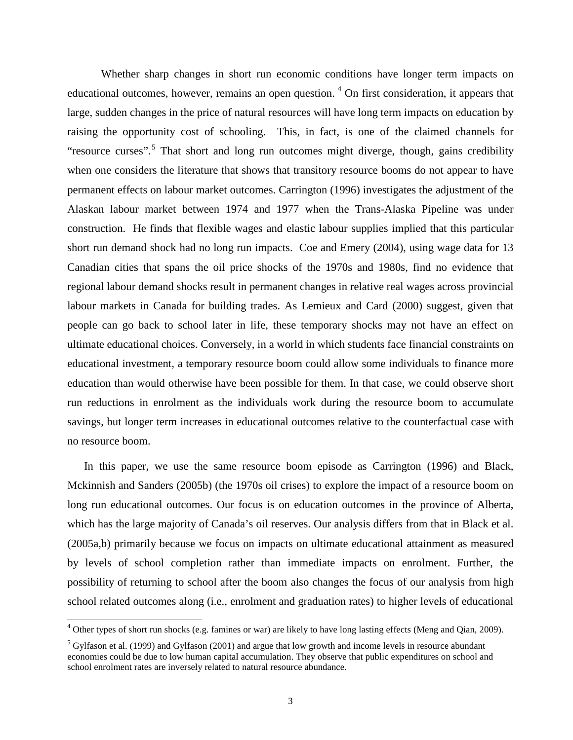Whether sharp changes in short run economic conditions have longer term impacts on educational outcomes, however, remains an open question.<sup>[4](#page-1-0)</sup> On first consideration, it appears that large, sudden changes in the price of natural resources will have long term impacts on education by raising the opportunity cost of schooling. This, in fact, is one of the claimed channels for "resource curses".<sup>[5](#page-2-0)</sup> That short and long run outcomes might diverge, though, gains credibility when one considers the literature that shows that transitory resource booms do not appear to have permanent effects on labour market outcomes. Carrington (1996) investigates the adjustment of the Alaskan labour market between 1974 and 1977 when the Trans-Alaska Pipeline was under construction. He finds that flexible wages and elastic labour supplies implied that this particular short run demand shock had no long run impacts. Coe and Emery (2004), using wage data for 13 Canadian cities that spans the oil price shocks of the 1970s and 1980s, find no evidence that regional labour demand shocks result in permanent changes in relative real wages across provincial labour markets in Canada for building trades. As Lemieux and Card (2000) suggest, given that people can go back to school later in life, these temporary shocks may not have an effect on ultimate educational choices. Conversely, in a world in which students face financial constraints on educational investment, a temporary resource boom could allow some individuals to finance more education than would otherwise have been possible for them. In that case, we could observe short run reductions in enrolment as the individuals work during the resource boom to accumulate savings, but longer term increases in educational outcomes relative to the counterfactual case with no resource boom.

In this paper, we use the same resource boom episode as Carrington (1996) and Black, Mckinnish and Sanders (2005b) (the 1970s oil crises) to explore the impact of a resource boom on long run educational outcomes. Our focus is on education outcomes in the province of Alberta, which has the large majority of Canada's oil reserves. Our analysis differs from that in Black et al. (2005a,b) primarily because we focus on impacts on ultimate educational attainment as measured by levels of school completion rather than immediate impacts on enrolment. Further, the possibility of returning to school after the boom also changes the focus of our analysis from high school related outcomes along (i.e., enrolment and graduation rates) to higher levels of educational

<span id="page-2-1"></span><sup>&</sup>lt;sup>4</sup> Other types of short run shocks (e.g. famines or war) are likely to have long lasting effects (Meng and Qian, 2009).

<span id="page-2-0"></span><sup>5</sup> Gylfason et al. (1999) and Gylfason (2001) and argue that low growth and income levels in resource abundant economies could be due to low human capital accumulation. They observe that public expenditures on school and school enrolment rates are inversely related to natural resource abundance.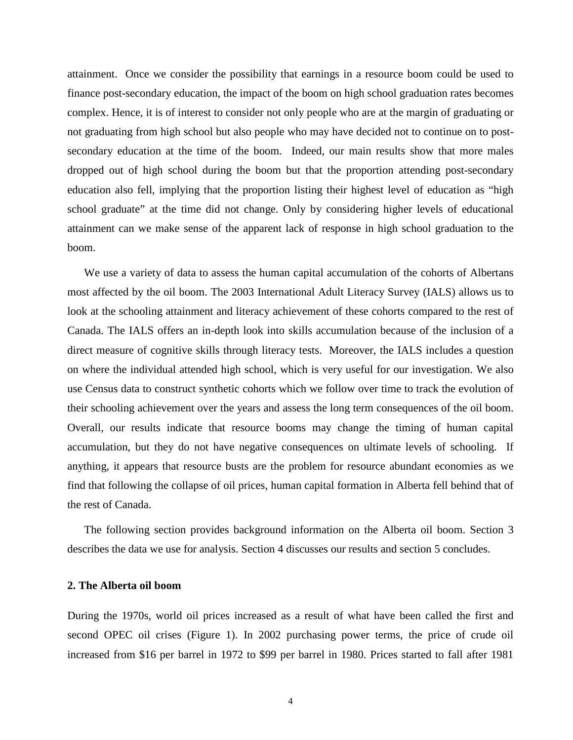attainment. Once we consider the possibility that earnings in a resource boom could be used to finance post-secondary education, the impact of the boom on high school graduation rates becomes complex. Hence, it is of interest to consider not only people who are at the margin of graduating or not graduating from high school but also people who may have decided not to continue on to postsecondary education at the time of the boom. Indeed, our main results show that more males dropped out of high school during the boom but that the proportion attending post-secondary education also fell, implying that the proportion listing their highest level of education as "high school graduate" at the time did not change. Only by considering higher levels of educational attainment can we make sense of the apparent lack of response in high school graduation to the boom.

We use a variety of data to assess the human capital accumulation of the cohorts of Albertans most affected by the oil boom. The 2003 International Adult Literacy Survey (IALS) allows us to look at the schooling attainment and literacy achievement of these cohorts compared to the rest of Canada. The IALS offers an in-depth look into skills accumulation because of the inclusion of a direct measure of cognitive skills through literacy tests. Moreover, the IALS includes a question on where the individual attended high school, which is very useful for our investigation. We also use Census data to construct synthetic cohorts which we follow over time to track the evolution of their schooling achievement over the years and assess the long term consequences of the oil boom. Overall, our results indicate that resource booms may change the timing of human capital accumulation, but they do not have negative consequences on ultimate levels of schooling. If anything, it appears that resource busts are the problem for resource abundant economies as we find that following the collapse of oil prices, human capital formation in Alberta fell behind that of the rest of Canada.

The following section provides background information on the Alberta oil boom. Section 3 describes the data we use for analysis. Section 4 discusses our results and section 5 concludes.

## **2. The Alberta oil boom**

During the 1970s, world oil prices increased as a result of what have been called the first and second OPEC oil crises (Figure 1). In 2002 purchasing power terms, the price of crude oil increased from \$16 per barrel in 1972 to \$99 per barrel in 1980. Prices started to fall after 1981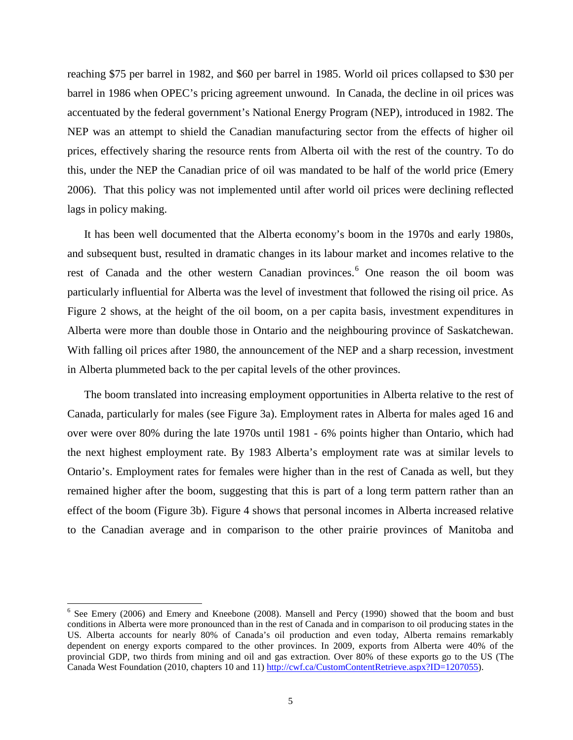reaching \$75 per barrel in 1982, and \$60 per barrel in 1985. World oil prices collapsed to \$30 per barrel in 1986 when OPEC's pricing agreement unwound. In Canada, the decline in oil prices was accentuated by the federal government's National Energy Program (NEP), introduced in 1982. The NEP was an attempt to shield the Canadian manufacturing sector from the effects of higher oil prices, effectively sharing the resource rents from Alberta oil with the rest of the country. To do this, under the NEP the Canadian price of oil was mandated to be half of the world price (Emery 2006). That this policy was not implemented until after world oil prices were declining reflected lags in policy making.

It has been well documented that the Alberta economy's boom in the 1970s and early 1980s, and subsequent bust, resulted in dramatic changes in its labour market and incomes relative to the rest of Canada and the other western Canadian provinces. [6](#page-2-1) One reason the oil boom was particularly influential for Alberta was the level of investment that followed the rising oil price. As Figure 2 shows, at the height of the oil boom, on a per capita basis, investment expenditures in Alberta were more than double those in Ontario and the neighbouring province of Saskatchewan. With falling oil prices after 1980, the announcement of the NEP and a sharp recession, investment in Alberta plummeted back to the per capital levels of the other provinces.

The boom translated into increasing employment opportunities in Alberta relative to the rest of Canada, particularly for males (see Figure 3a). Employment rates in Alberta for males aged 16 and over were over 80% during the late 1970s until 1981 - 6% points higher than Ontario, which had the next highest employment rate. By 1983 Alberta's employment rate was at similar levels to Ontario's. Employment rates for females were higher than in the rest of Canada as well, but they remained higher after the boom, suggesting that this is part of a long term pattern rather than an effect of the boom (Figure 3b). Figure 4 shows that personal incomes in Alberta increased relative to the Canadian average and in comparison to the other prairie provinces of Manitoba and

<span id="page-4-0"></span><sup>&</sup>lt;sup>6</sup> See Emery (2006) and Emery and Kneebone (2008). Mansell and Percy (1990) showed that the boom and bust conditions in Alberta were more pronounced than in the rest of Canada and in comparison to oil producing states in the US. Alberta accounts for nearly 80% of Canada's oil production and even today, Alberta remains remarkably dependent on energy exports compared to the other provinces. In 2009, exports from Alberta were 40% of the provincial GDP, two thirds from mining and oil and gas extraction. Over 80% of these exports go to the US (The Canada West Foundation (2010, chapters 10 and 11) [http://cwf.ca/CustomContentRetrieve.aspx?ID=1207055\)](http://cwf.ca/CustomContentRetrieve.aspx?ID=1207055).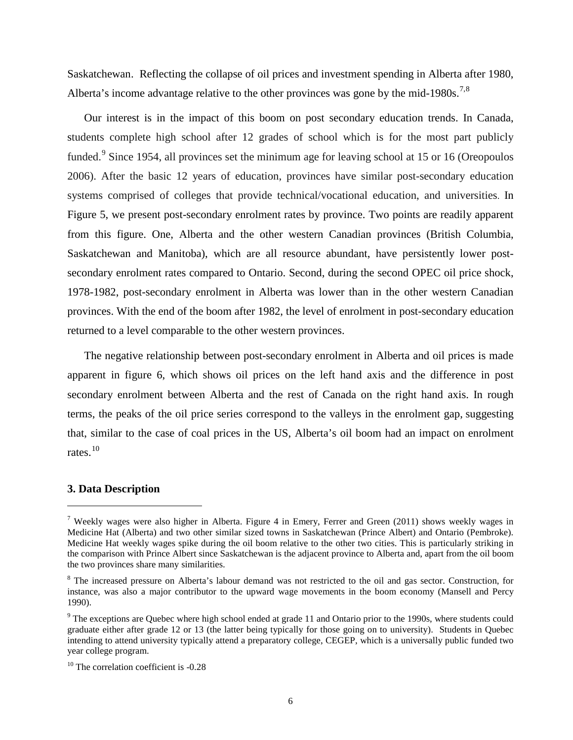Saskatchewan. Reflecting the collapse of oil prices and investment spending in Alberta after 1980, Alberta's income advantage relative to the other provinces was gone by the mid-1980s.<sup>[7](#page-4-0),[8](#page-5-0)</sup>

Our interest is in the impact of this boom on post secondary education trends. In Canada, students complete high school after 12 grades of school which is for the most part publicly funded.<sup>[9](#page-5-1)</sup> Since 1954, all provinces set the minimum age for leaving school at 15 or 16 (Oreopoulos 2006). After the basic 12 years of education, provinces have similar post-secondary education systems comprised of colleges that provide technical/vocational education, and universities. In Figure 5, we present post-secondary enrolment rates by province. Two points are readily apparent from this figure. One, Alberta and the other western Canadian provinces (British Columbia, Saskatchewan and Manitoba), which are all resource abundant, have persistently lower postsecondary enrolment rates compared to Ontario. Second, during the second OPEC oil price shock, 1978-1982, post-secondary enrolment in Alberta was lower than in the other western Canadian provinces. With the end of the boom after 1982, the level of enrolment in post-secondary education returned to a level comparable to the other western provinces.

The negative relationship between post-secondary enrolment in Alberta and oil prices is made apparent in figure 6, which shows oil prices on the left hand axis and the difference in post secondary enrolment between Alberta and the rest of Canada on the right hand axis. In rough terms, the peaks of the oil price series correspond to the valleys in the enrolment gap, suggesting that, similar to the case of coal prices in the US, Alberta's oil boom had an impact on enrolment rates.<sup>[10](#page-5-2)</sup>

#### **3. Data Description**

<sup>&</sup>lt;sup>7</sup> Weekly wages were also higher in Alberta. Figure 4 in Emery, Ferrer and Green (2011) shows weekly wages in Medicine Hat (Alberta) and two other similar sized towns in Saskatchewan (Prince Albert) and Ontario (Pembroke). Medicine Hat weekly wages spike during the oil boom relative to the other two cities. This is particularly striking in the comparison with Prince Albert since Saskatchewan is the adjacent province to Alberta and, apart from the oil boom the two provinces share many similarities.

<span id="page-5-0"></span><sup>&</sup>lt;sup>8</sup> The increased pressure on Alberta's labour demand was not restricted to the oil and gas sector. Construction, for instance, was also a major contributor to the upward wage movements in the boom economy (Mansell and Percy 1990).

<span id="page-5-3"></span><span id="page-5-1"></span><sup>&</sup>lt;sup>9</sup> The exceptions are Quebec where high school ended at grade 11 and Ontario prior to the 1990s, where students could graduate either after grade 12 or 13 (the latter being typically for those going on to university). Students in Quebec intending to attend university typically attend a preparatory college, CEGEP, which is a universally public funded two year college program.

<span id="page-5-2"></span><sup>&</sup>lt;sup>10</sup> The correlation coefficient is -0.28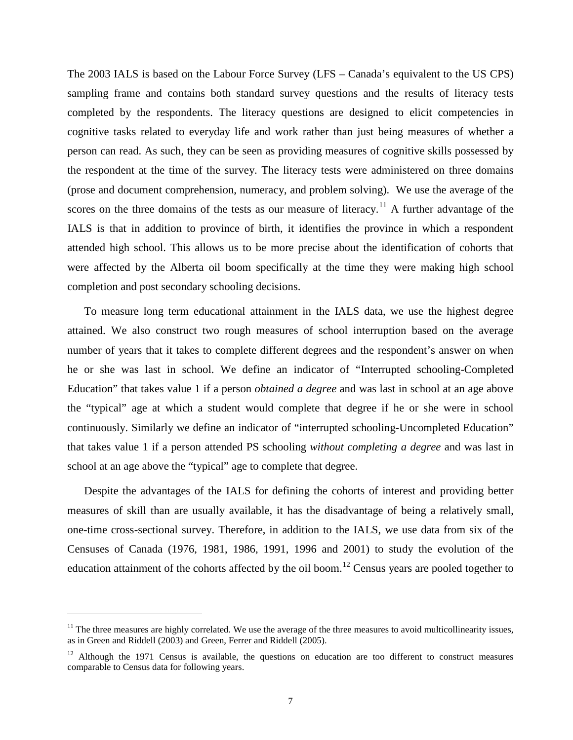The 2003 IALS is based on the Labour Force Survey (LFS – Canada's equivalent to the US CPS) sampling frame and contains both standard survey questions and the results of literacy tests completed by the respondents. The literacy questions are designed to elicit competencies in cognitive tasks related to everyday life and work rather than just being measures of whether a person can read. As such, they can be seen as providing measures of cognitive skills possessed by the respondent at the time of the survey. The literacy tests were administered on three domains (prose and document comprehension, numeracy, and problem solving). We use the average of the scores on the three domains of the tests as our measure of literacy.<sup>[11](#page-5-3)</sup> A further advantage of the IALS is that in addition to province of birth, it identifies the province in which a respondent attended high school. This allows us to be more precise about the identification of cohorts that were affected by the Alberta oil boom specifically at the time they were making high school completion and post secondary schooling decisions.

To measure long term educational attainment in the IALS data, we use the highest degree attained. We also construct two rough measures of school interruption based on the average number of years that it takes to complete different degrees and the respondent's answer on when he or she was last in school. We define an indicator of "Interrupted schooling-Completed Education" that takes value 1 if a person *obtained a degree* and was last in school at an age above the "typical" age at which a student would complete that degree if he or she were in school continuously. Similarly we define an indicator of "interrupted schooling-Uncompleted Education" that takes value 1 if a person attended PS schooling *without completing a degree* and was last in school at an age above the "typical" age to complete that degree.

<span id="page-6-1"></span>Despite the advantages of the IALS for defining the cohorts of interest and providing better measures of skill than are usually available, it has the disadvantage of being a relatively small, one-time cross-sectional survey. Therefore, in addition to the IALS, we use data from six of the Censuses of Canada (1976, 1981, 1986, 1991, 1996 and 2001) to study the evolution of the education attainment of the cohorts affected by the oil boom.<sup>[12](#page-6-0)</sup> Census years are pooled together to

 $<sup>11</sup>$  The three measures are highly correlated. We use the average of the three measures to avoid multicollinearity issues,</sup> as in Green and Riddell (2003) and Green, Ferrer and Riddell (2005).

<span id="page-6-0"></span> $12$  Although the 1971 Census is available, the questions on education are too different to construct measures comparable to Census data for following years.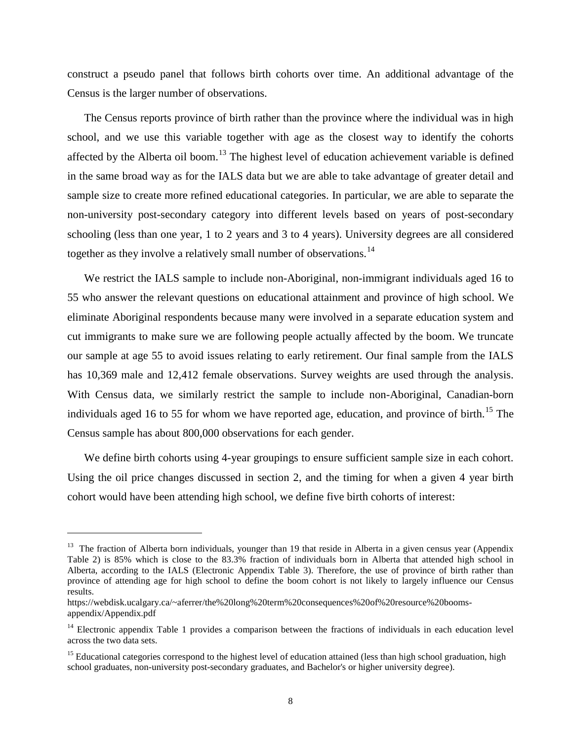construct a pseudo panel that follows birth cohorts over time. An additional advantage of the Census is the larger number of observations.

The Census reports province of birth rather than the province where the individual was in high school, and we use this variable together with age as the closest way to identify the cohorts affected by the Alberta oil boom.<sup>[13](#page-6-1)</sup> The highest level of education achievement variable is defined in the same broad way as for the IALS data but we are able to take advantage of greater detail and sample size to create more refined educational categories. In particular, we are able to separate the non-university post-secondary category into different levels based on years of post-secondary schooling (less than one year, 1 to 2 years and 3 to 4 years). University degrees are all considered together as they involve a relatively small number of observations.<sup>[14](#page-7-0)</sup>

We restrict the IALS sample to include non-Aboriginal, non-immigrant individuals aged 16 to 55 who answer the relevant questions on educational attainment and province of high school. We eliminate Aboriginal respondents because many were involved in a separate education system and cut immigrants to make sure we are following people actually affected by the boom. We truncate our sample at age 55 to avoid issues relating to early retirement. Our final sample from the IALS has 10,369 male and 12,412 female observations. Survey weights are used through the analysis. With Census data, we similarly restrict the sample to include non-Aboriginal, Canadian-born individuals aged 16 to 55 for whom we have reported age, education, and province of birth.<sup>[15](#page-7-1)</sup> The Census sample has about 800,000 observations for each gender.

We define birth cohorts using 4-year groupings to ensure sufficient sample size in each cohort. Using the oil price changes discussed in section 2, and the timing for when a given 4 year birth cohort would have been attending high school, we define five birth cohorts of interest:

 $13$  The fraction of Alberta born individuals, younger than 19 that reside in Alberta in a given census year (Appendix Table 2) is 85% which is close to the 83.3% fraction of individuals born in Alberta that attended high school in Alberta, according to the IALS (Electronic Appendix Table 3). Therefore, the use of province of birth rather than province of attending age for high school to define the boom cohort is not likely to largely influence our Census results.

https://webdisk.ucalgary.ca/~aferrer/the%20long%20term%20consequences%20of%20resource%20boomsappendix/Appendix.pdf

<span id="page-7-0"></span><sup>&</sup>lt;sup>14</sup> Electronic appendix Table 1 provides a comparison between the fractions of individuals in each education level across the two data sets.

<span id="page-7-2"></span><span id="page-7-1"></span><sup>&</sup>lt;sup>15</sup> Educational categories correspond to the highest level of education attained (less than high school graduation, high school graduates, non-university post-secondary graduates, and Bachelor's or higher university degree).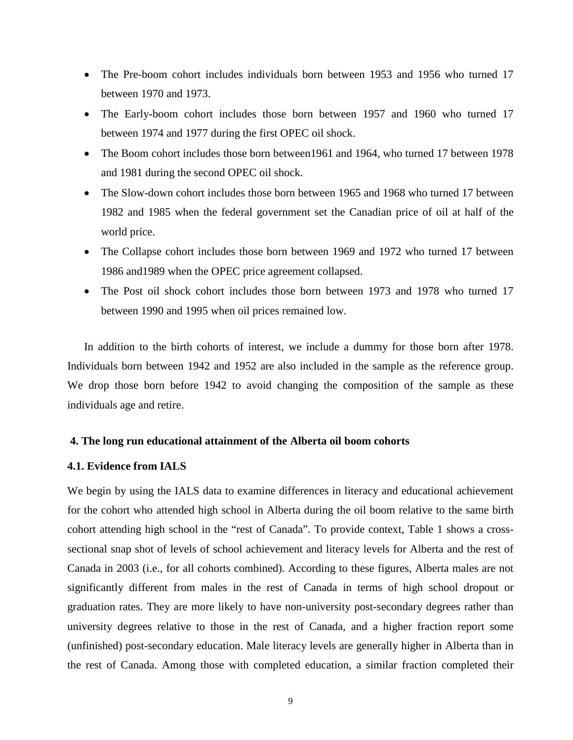- The Pre-boom cohort includes individuals born between 1953 and 1956 who turned 17 between 1970 and 1973.
- The Early-boom cohort includes those born between 1957 and 1960 who turned 17 between 1974 and 1977 during the first OPEC oil shock.
- The Boom cohort includes those born between 1961 and 1964, who turned 17 between 1978 and 1981 during the second OPEC oil shock.
- The Slow-down cohort includes those born between 1965 and 1968 who turned 17 between 1982 and 1985 when the federal government set the Canadian price of oil at half of the world price.
- The Collapse cohort includes those born between 1969 and 1972 who turned 17 between 1986 and1989 when the OPEC price agreement collapsed.
- The Post oil shock cohort includes those born between 1973 and 1978 who turned 17 between 1990 and 1995 when oil prices remained low.

In addition to the birth cohorts of interest, we include a dummy for those born after 1978. Individuals born between 1942 and 1952 are also included in the sample as the reference group. We drop those born before 1942 to avoid changing the composition of the sample as these individuals age and retire.

### **4. The long run educational attainment of the Alberta oil boom cohorts**

## **4.1. Evidence from IALS**

We begin by using the IALS data to examine differences in literacy and educational achievement for the cohort who attended high school in Alberta during the oil boom relative to the same birth cohort attending high school in the "rest of Canada". To provide context, Table 1 shows a crosssectional snap shot of levels of school achievement and literacy levels for Alberta and the rest of Canada in 2003 (i.e., for all cohorts combined). According to these figures, Alberta males are not significantly different from males in the rest of Canada in terms of high school dropout or graduation rates. They are more likely to have non-university post-secondary degrees rather than university degrees relative to those in the rest of Canada, and a higher fraction report some (unfinished) post-secondary education. Male literacy levels are generally higher in Alberta than in the rest of Canada. Among those with completed education, a similar fraction completed their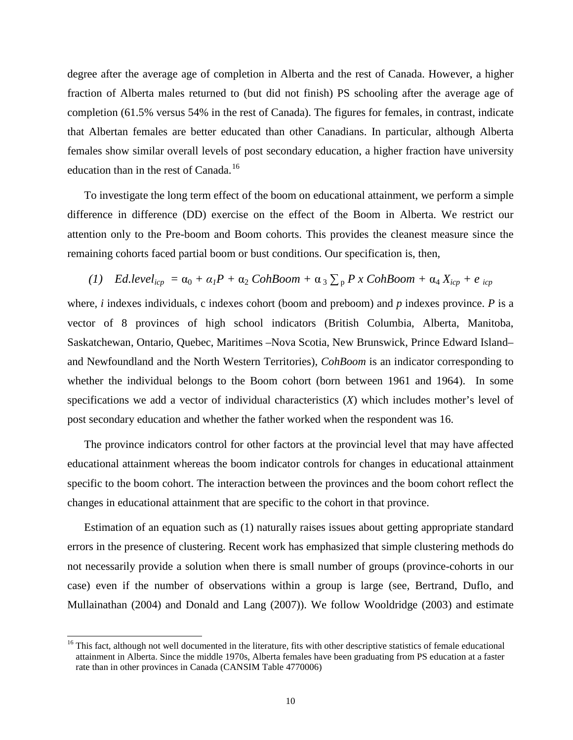degree after the average age of completion in Alberta and the rest of Canada. However, a higher fraction of Alberta males returned to (but did not finish) PS schooling after the average age of completion (61.5% versus 54% in the rest of Canada). The figures for females, in contrast, indicate that Albertan females are better educated than other Canadians. In particular, although Alberta females show similar overall levels of post secondary education, a higher fraction have university education than in the rest of Canada.<sup>[16](#page-7-2)</sup>

To investigate the long term effect of the boom on educational attainment, we perform a simple difference in difference (DD) exercise on the effect of the Boom in Alberta. We restrict our attention only to the Pre-boom and Boom cohorts. This provides the cleanest measure since the remaining cohorts faced partial boom or bust conditions. Our specification is, then,

(1) Ed. 
$$
level_{icp} = \alpha_0 + \alpha_1 P + \alpha_2 CohRoom + \alpha_3 \sum_p P x CohRoom + \alpha_4 X_{icp} + e_{icp}
$$

where, *i* indexes individuals, c indexes cohort (boom and preboom) and *p* indexes province. *P* is a vector of 8 provinces of high school indicators (British Columbia, Alberta, Manitoba, Saskatchewan, Ontario, Quebec, Maritimes –Nova Scotia, New Brunswick, Prince Edward Island– and Newfoundland and the North Western Territories), *CohBoom* is an indicator corresponding to whether the individual belongs to the Boom cohort (born between 1961 and 1964). In some specifications we add a vector of individual characteristics (*X*) which includes mother's level of post secondary education and whether the father worked when the respondent was 16.

The province indicators control for other factors at the provincial level that may have affected educational attainment whereas the boom indicator controls for changes in educational attainment specific to the boom cohort. The interaction between the provinces and the boom cohort reflect the changes in educational attainment that are specific to the cohort in that province.

<span id="page-9-0"></span>Estimation of an equation such as (1) naturally raises issues about getting appropriate standard errors in the presence of clustering. Recent work has emphasized that simple clustering methods do not necessarily provide a solution when there is small number of groups (province-cohorts in our case) even if the number of observations within a group is large (see, Bertrand, Duflo, and Mullainathan (2004) and Donald and Lang (2007)). We follow Wooldridge (2003) and estimate

<sup>&</sup>lt;sup>16</sup> This fact, although not well documented in the literature, fits with other descriptive statistics of female educational attainment in Alberta. Since the middle 1970s, Alberta females have been graduating from PS education at a faster rate than in other provinces in Canada (CANSIM Table 4770006)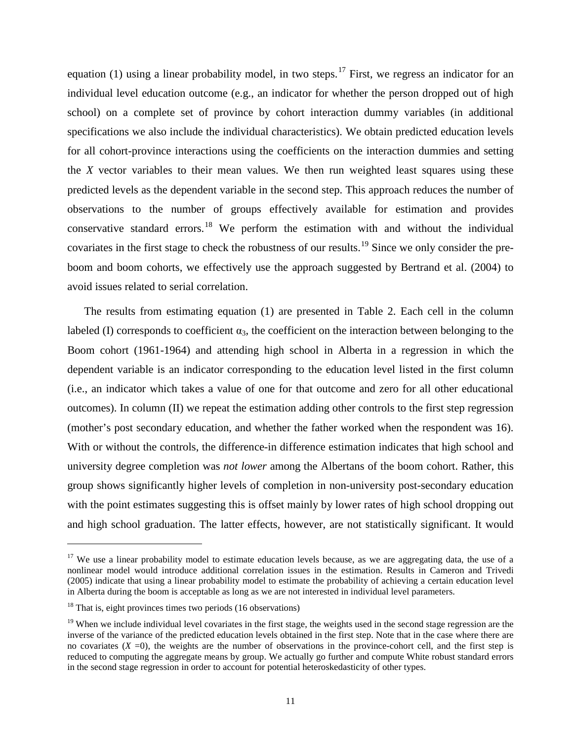equation (1) using a linear probability model, in two steps.<sup>[17](#page-9-0)</sup> First, we regress an indicator for an individual level education outcome (e.g., an indicator for whether the person dropped out of high school) on a complete set of province by cohort interaction dummy variables (in additional specifications we also include the individual characteristics). We obtain predicted education levels for all cohort-province interactions using the coefficients on the interaction dummies and setting the *X* vector variables to their mean values. We then run weighted least squares using these predicted levels as the dependent variable in the second step. This approach reduces the number of observations to the number of groups effectively available for estimation and provides conservative standard errors.<sup>[18](#page-10-0)</sup> We perform the estimation with and without the individual covariates in the first stage to check the robustness of our results.<sup>[19](#page-10-1)</sup> Since we only consider the preboom and boom cohorts, we effectively use the approach suggested by Bertrand et al. (2004) to avoid issues related to serial correlation.

The results from estimating equation (1) are presented in Table 2. Each cell in the column labeled (I) corresponds to coefficient  $\alpha_3$ , the coefficient on the interaction between belonging to the Boom cohort (1961-1964) and attending high school in Alberta in a regression in which the dependent variable is an indicator corresponding to the education level listed in the first column (i.e., an indicator which takes a value of one for that outcome and zero for all other educational outcomes). In column (II) we repeat the estimation adding other controls to the first step regression (mother's post secondary education, and whether the father worked when the respondent was 16). With or without the controls, the difference-in difference estimation indicates that high school and university degree completion was *not lower* among the Albertans of the boom cohort. Rather, this group shows significantly higher levels of completion in non-university post-secondary education with the point estimates suggesting this is offset mainly by lower rates of high school dropping out and high school graduation. The latter effects, however, are not statistically significant. It would

 $17$  We use a linear probability model to estimate education levels because, as we are aggregating data, the use of a nonlinear model would introduce additional correlation issues in the estimation. Results in Cameron and Trivedi (2005) indicate that using a linear probability model to estimate the probability of achieving a certain education level in Alberta during the boom is acceptable as long as we are not interested in individual level parameters.

<span id="page-10-0"></span> $18$  That is, eight provinces times two periods (16 observations)

<span id="page-10-2"></span><span id="page-10-1"></span> $19$  When we include individual level covariates in the first stage, the weights used in the second stage regression are the inverse of the variance of the predicted education levels obtained in the first step. Note that in the case where there are no covariates  $(X = 0)$ , the weights are the number of observations in the province-cohort cell, and the first step is reduced to computing the aggregate means by group. We actually go further and compute White robust standard errors in the second stage regression in order to account for potential heteroskedasticity of other types.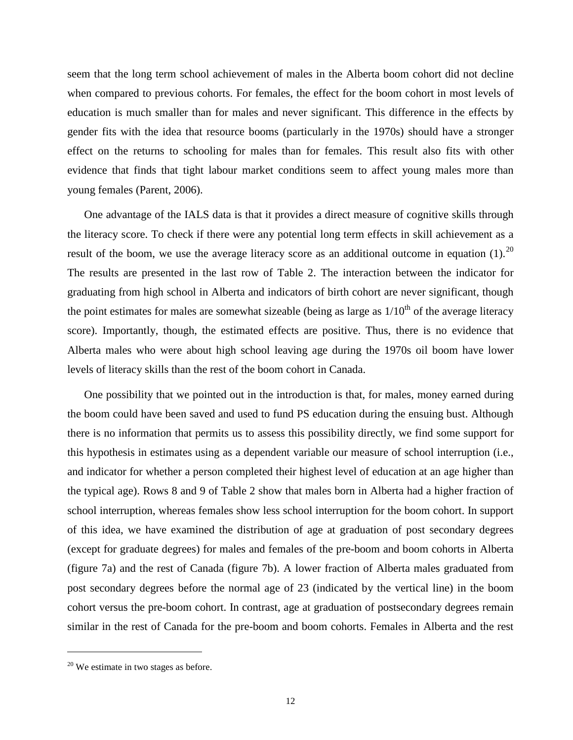seem that the long term school achievement of males in the Alberta boom cohort did not decline when compared to previous cohorts. For females, the effect for the boom cohort in most levels of education is much smaller than for males and never significant. This difference in the effects by gender fits with the idea that resource booms (particularly in the 1970s) should have a stronger effect on the returns to schooling for males than for females. This result also fits with other evidence that finds that tight labour market conditions seem to affect young males more than young females (Parent, 2006).

One advantage of the IALS data is that it provides a direct measure of cognitive skills through the literacy score. To check if there were any potential long term effects in skill achievement as a result of the boom, we use the average literacy score as an additional outcome in equation  $(1)$ .<sup>[20](#page-10-2)</sup> The results are presented in the last row of Table 2. The interaction between the indicator for graduating from high school in Alberta and indicators of birth cohort are never significant, though the point estimates for males are somewhat sizeable (being as large as  $1/10^{th}$  of the average literacy score). Importantly, though, the estimated effects are positive. Thus, there is no evidence that Alberta males who were about high school leaving age during the 1970s oil boom have lower levels of literacy skills than the rest of the boom cohort in Canada.

One possibility that we pointed out in the introduction is that, for males, money earned during the boom could have been saved and used to fund PS education during the ensuing bust. Although there is no information that permits us to assess this possibility directly, we find some support for this hypothesis in estimates using as a dependent variable our measure of school interruption (i.e., and indicator for whether a person completed their highest level of education at an age higher than the typical age). Rows 8 and 9 of Table 2 show that males born in Alberta had a higher fraction of school interruption, whereas females show less school interruption for the boom cohort. In support of this idea, we have examined the distribution of age at graduation of post secondary degrees (except for graduate degrees) for males and females of the pre-boom and boom cohorts in Alberta (figure 7a) and the rest of Canada (figure 7b). A lower fraction of Alberta males graduated from post secondary degrees before the normal age of 23 (indicated by the vertical line) in the boom cohort versus the pre-boom cohort. In contrast, age at graduation of postsecondary degrees remain similar in the rest of Canada for the pre-boom and boom cohorts. Females in Alberta and the rest

<span id="page-11-0"></span> $20$  We estimate in two stages as before.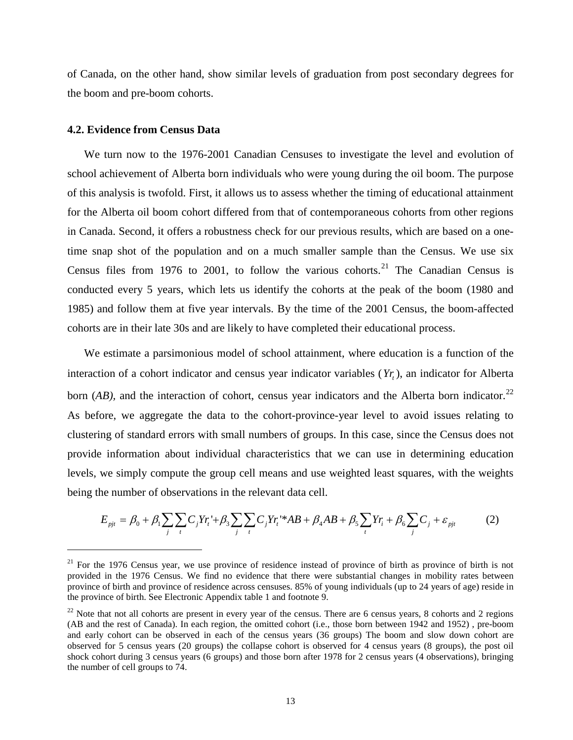of Canada, on the other hand, show similar levels of graduation from post secondary degrees for the boom and pre-boom cohorts.

## **4.2. Evidence from Census Data**

 $\overline{a}$ 

We turn now to the 1976-2001 Canadian Censuses to investigate the level and evolution of school achievement of Alberta born individuals who were young during the oil boom. The purpose of this analysis is twofold. First, it allows us to assess whether the timing of educational attainment for the Alberta oil boom cohort differed from that of contemporaneous cohorts from other regions in Canada. Second, it offers a robustness check for our previous results, which are based on a onetime snap shot of the population and on a much smaller sample than the Census. We use six Census files from 1976 to 2001, to follow the various cohorts.<sup>[21](#page-11-0)</sup> The Canadian Census is conducted every 5 years, which lets us identify the cohorts at the peak of the boom (1980 and 1985) and follow them at five year intervals. By the time of the 2001 Census, the boom-affected cohorts are in their late 30s and are likely to have completed their educational process.

We estimate a parsimonious model of school attainment, where education is a function of the interaction of a cohort indicator and census year indicator variables (*Yr*,), an indicator for Alberta born  $(AB)$ , and the interaction of cohort, census year indicators and the Alberta born indicator.<sup>[22](#page-12-0)</sup> As before, we aggregate the data to the cohort-province-year level to avoid issues relating to clustering of standard errors with small numbers of groups. In this case, since the Census does not provide information about individual characteristics that we can use in determining education levels, we simply compute the group cell means and use weighted least squares, with the weights being the number of observations in the relevant data cell.

$$
E_{pjt} = \beta_0 + \beta_1 \sum_{j} \sum_{t} C_j Y r_i + \beta_3 \sum_{j} \sum_{t} C_j Y r_i + AB + \beta_4 AB + \beta_5 \sum_{t} Y r_i + \beta_6 \sum_{j} C_j + \varepsilon_{pjt}
$$
(2)

<sup>&</sup>lt;sup>21</sup> For the 1976 Census year, we use province of residence instead of province of birth as province of birth is not provided in the 1976 Census. We find no evidence that there were substantial changes in mobility rates between province of birth and province of residence across censuses. 85% of young individuals (up to 24 years of age) reside in the province of birth. See Electronic Appendix table 1 and footnote 9.

<span id="page-12-1"></span><span id="page-12-0"></span> $22$  Note that not all cohorts are present in every year of the census. There are 6 census years, 8 cohorts and 2 regions (AB and the rest of Canada). In each region, the omitted cohort (i.e., those born between 1942 and 1952) , pre-boom and early cohort can be observed in each of the census years (36 groups) The boom and slow down cohort are observed for 5 census years (20 groups) the collapse cohort is observed for 4 census years (8 groups), the post oil shock cohort during 3 census years (6 groups) and those born after 1978 for 2 census years (4 observations), bringing the number of cell groups to 74.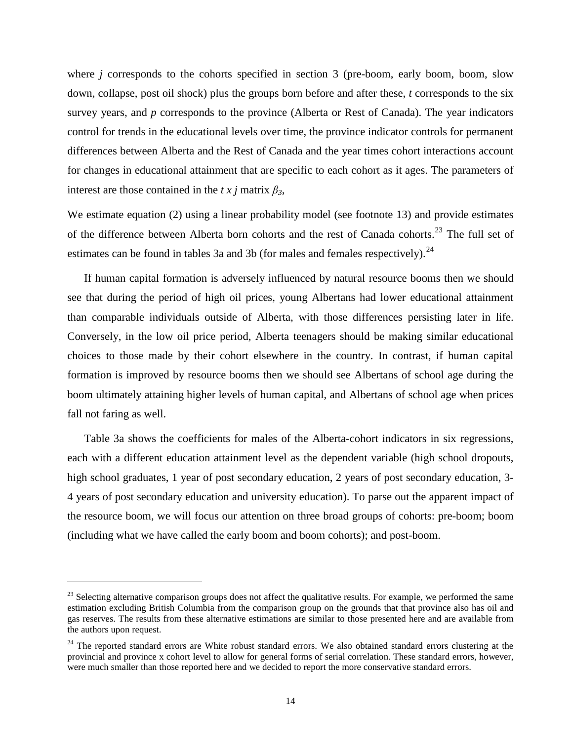where *j* corresponds to the cohorts specified in section 3 (pre-boom, early boom, boom, slow down, collapse, post oil shock) plus the groups born before and after these, *t* corresponds to the six survey years, and *p* corresponds to the province (Alberta or Rest of Canada). The year indicators control for trends in the educational levels over time, the province indicator controls for permanent differences between Alberta and the Rest of Canada and the year times cohort interactions account for changes in educational attainment that are specific to each cohort as it ages. The parameters of interest are those contained in the *t x j* matrix  $\beta_3$ ,

We estimate equation (2) using a linear probability model (see footnote 13) and provide estimates of the difference between Alberta born cohorts and the rest of Canada cohorts.<sup>[23](#page-12-1)</sup> The full set of estimates can be found in tables 3a and 3b (for males and females respectively).<sup>[24](#page-13-0)</sup>

If human capital formation is adversely influenced by natural resource booms then we should see that during the period of high oil prices, young Albertans had lower educational attainment than comparable individuals outside of Alberta, with those differences persisting later in life. Conversely, in the low oil price period, Alberta teenagers should be making similar educational choices to those made by their cohort elsewhere in the country. In contrast, if human capital formation is improved by resource booms then we should see Albertans of school age during the boom ultimately attaining higher levels of human capital, and Albertans of school age when prices fall not faring as well.

Table 3a shows the coefficients for males of the Alberta-cohort indicators in six regressions, each with a different education attainment level as the dependent variable (high school dropouts, high school graduates, 1 year of post secondary education, 2 years of post secondary education, 3-4 years of post secondary education and university education). To parse out the apparent impact of the resource boom, we will focus our attention on three broad groups of cohorts: pre-boom; boom (including what we have called the early boom and boom cohorts); and post-boom.

 $23$  Selecting alternative comparison groups does not affect the qualitative results. For example, we performed the same estimation excluding British Columbia from the comparison group on the grounds that that province also has oil and gas reserves. The results from these alternative estimations are similar to those presented here and are available from the authors upon request.

<span id="page-13-1"></span><span id="page-13-0"></span> $24$  The reported standard errors are White robust standard errors. We also obtained standard errors clustering at the provincial and province x cohort level to allow for general forms of serial correlation. These standard errors, however, were much smaller than those reported here and we decided to report the more conservative standard errors.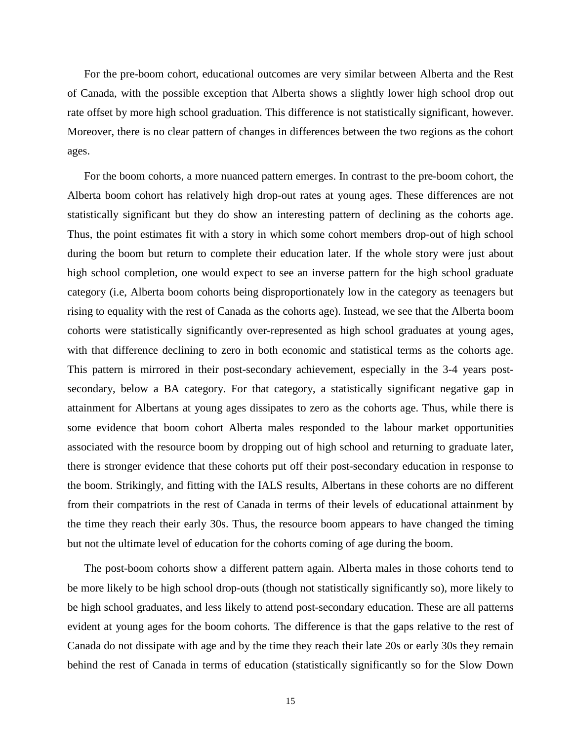For the pre-boom cohort, educational outcomes are very similar between Alberta and the Rest of Canada, with the possible exception that Alberta shows a slightly lower high school drop out rate offset by more high school graduation. This difference is not statistically significant, however. Moreover, there is no clear pattern of changes in differences between the two regions as the cohort ages.

For the boom cohorts, a more nuanced pattern emerges. In contrast to the pre-boom cohort, the Alberta boom cohort has relatively high drop-out rates at young ages. These differences are not statistically significant but they do show an interesting pattern of declining as the cohorts age. Thus, the point estimates fit with a story in which some cohort members drop-out of high school during the boom but return to complete their education later. If the whole story were just about high school completion, one would expect to see an inverse pattern for the high school graduate category (i.e, Alberta boom cohorts being disproportionately low in the category as teenagers but rising to equality with the rest of Canada as the cohorts age). Instead, we see that the Alberta boom cohorts were statistically significantly over-represented as high school graduates at young ages, with that difference declining to zero in both economic and statistical terms as the cohorts age. This pattern is mirrored in their post-secondary achievement, especially in the 3-4 years postsecondary, below a BA category. For that category, a statistically significant negative gap in attainment for Albertans at young ages dissipates to zero as the cohorts age. Thus, while there is some evidence that boom cohort Alberta males responded to the labour market opportunities associated with the resource boom by dropping out of high school and returning to graduate later, there is stronger evidence that these cohorts put off their post-secondary education in response to the boom. Strikingly, and fitting with the IALS results, Albertans in these cohorts are no different from their compatriots in the rest of Canada in terms of their levels of educational attainment by the time they reach their early 30s. Thus, the resource boom appears to have changed the timing but not the ultimate level of education for the cohorts coming of age during the boom.

The post-boom cohorts show a different pattern again. Alberta males in those cohorts tend to be more likely to be high school drop-outs (though not statistically significantly so), more likely to be high school graduates, and less likely to attend post-secondary education. These are all patterns evident at young ages for the boom cohorts. The difference is that the gaps relative to the rest of Canada do not dissipate with age and by the time they reach their late 20s or early 30s they remain behind the rest of Canada in terms of education (statistically significantly so for the Slow Down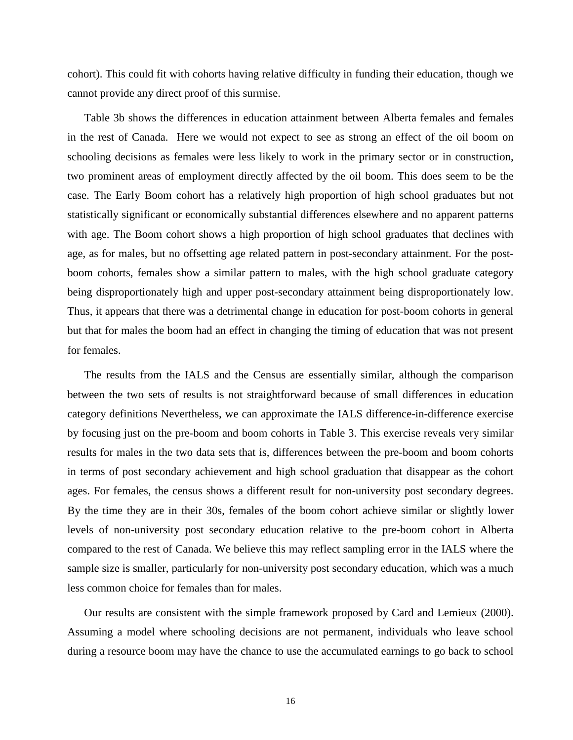cohort). This could fit with cohorts having relative difficulty in funding their education, though we cannot provide any direct proof of this surmise.

Table 3b shows the differences in education attainment between Alberta females and females in the rest of Canada. Here we would not expect to see as strong an effect of the oil boom on schooling decisions as females were less likely to work in the primary sector or in construction, two prominent areas of employment directly affected by the oil boom. This does seem to be the case. The Early Boom cohort has a relatively high proportion of high school graduates but not statistically significant or economically substantial differences elsewhere and no apparent patterns with age. The Boom cohort shows a high proportion of high school graduates that declines with age, as for males, but no offsetting age related pattern in post-secondary attainment. For the postboom cohorts, females show a similar pattern to males, with the high school graduate category being disproportionately high and upper post-secondary attainment being disproportionately low. Thus, it appears that there was a detrimental change in education for post-boom cohorts in general but that for males the boom had an effect in changing the timing of education that was not present for females.

The results from the IALS and the Census are essentially similar, although the comparison between the two sets of results is not straightforward because of small differences in education category definitions Nevertheless, we can approximate the IALS difference-in-difference exercise by focusing just on the pre-boom and boom cohorts in Table 3. This exercise reveals very similar results for males in the two data sets that is, differences between the pre-boom and boom cohorts in terms of post secondary achievement and high school graduation that disappear as the cohort ages. For females, the census shows a different result for non-university post secondary degrees. By the time they are in their 30s, females of the boom cohort achieve similar or slightly lower levels of non-university post secondary education relative to the pre-boom cohort in Alberta compared to the rest of Canada. We believe this may reflect sampling error in the IALS where the sample size is smaller, particularly for non-university post secondary education, which was a much less common choice for females than for males.

Our results are consistent with the simple framework proposed by Card and Lemieux (2000). Assuming a model where schooling decisions are not permanent, individuals who leave school during a resource boom may have the chance to use the accumulated earnings to go back to school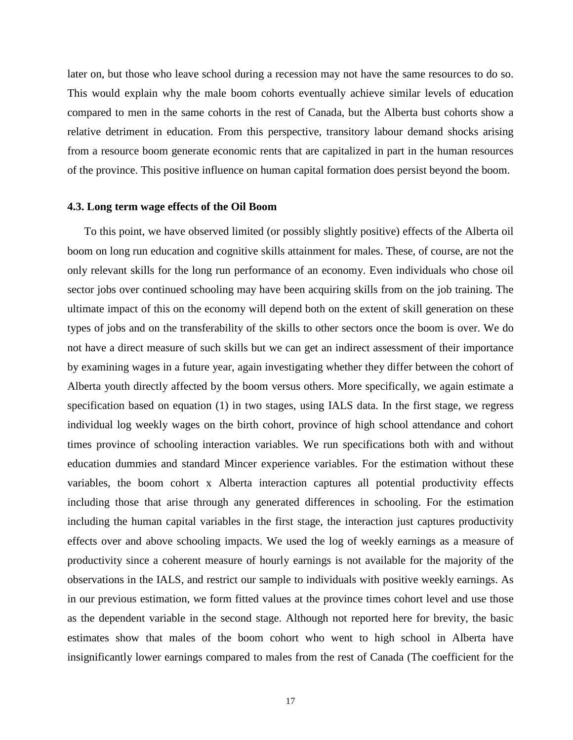later on, but those who leave school during a recession may not have the same resources to do so. This would explain why the male boom cohorts eventually achieve similar levels of education compared to men in the same cohorts in the rest of Canada, but the Alberta bust cohorts show a relative detriment in education. From this perspective, transitory labour demand shocks arising from a resource boom generate economic rents that are capitalized in part in the human resources of the province. This positive influence on human capital formation does persist beyond the boom.

#### **4.3. Long term wage effects of the Oil Boom**

To this point, we have observed limited (or possibly slightly positive) effects of the Alberta oil boom on long run education and cognitive skills attainment for males. These, of course, are not the only relevant skills for the long run performance of an economy. Even individuals who chose oil sector jobs over continued schooling may have been acquiring skills from on the job training. The ultimate impact of this on the economy will depend both on the extent of skill generation on these types of jobs and on the transferability of the skills to other sectors once the boom is over. We do not have a direct measure of such skills but we can get an indirect assessment of their importance by examining wages in a future year, again investigating whether they differ between the cohort of Alberta youth directly affected by the boom versus others. More specifically, we again estimate a specification based on equation (1) in two stages, using IALS data. In the first stage, we regress individual log weekly wages on the birth cohort, province of high school attendance and cohort times province of schooling interaction variables. We run specifications both with and without education dummies and standard Mincer experience variables. For the estimation without these variables, the boom cohort x Alberta interaction captures all potential productivity effects including those that arise through any generated differences in schooling. For the estimation including the human capital variables in the first stage, the interaction just captures productivity effects over and above schooling impacts. We used the log of weekly earnings as a measure of productivity since a coherent measure of hourly earnings is not available for the majority of the observations in the IALS, and restrict our sample to individuals with positive weekly earnings. As in our previous estimation, we form fitted values at the province times cohort level and use those as the dependent variable in the second stage. Although not reported here for brevity, the basic estimates show that males of the boom cohort who went to high school in Alberta have insignificantly lower earnings compared to males from the rest of Canada (The coefficient for the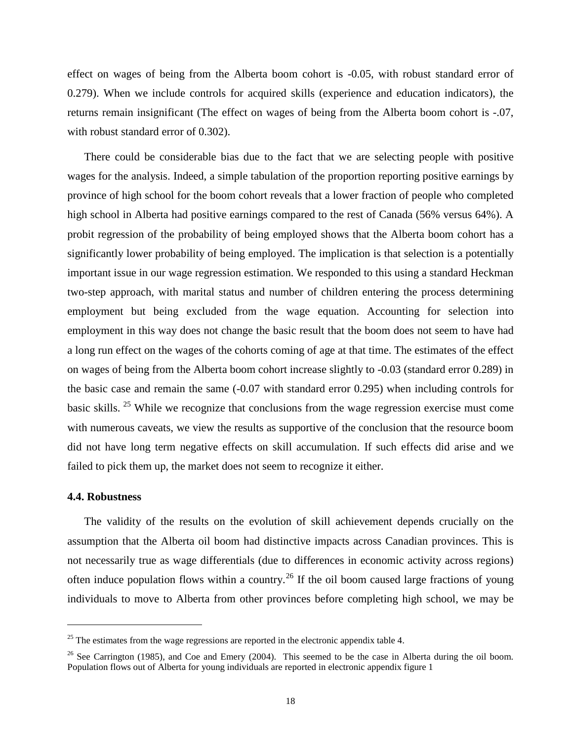effect on wages of being from the Alberta boom cohort is -0.05, with robust standard error of 0.279). When we include controls for acquired skills (experience and education indicators), the returns remain insignificant (The effect on wages of being from the Alberta boom cohort is -.07, with robust standard error of 0.302).

There could be considerable bias due to the fact that we are selecting people with positive wages for the analysis. Indeed, a simple tabulation of the proportion reporting positive earnings by province of high school for the boom cohort reveals that a lower fraction of people who completed high school in Alberta had positive earnings compared to the rest of Canada (56% versus 64%). A probit regression of the probability of being employed shows that the Alberta boom cohort has a significantly lower probability of being employed. The implication is that selection is a potentially important issue in our wage regression estimation. We responded to this using a standard Heckman two-step approach, with marital status and number of children entering the process determining employment but being excluded from the wage equation. Accounting for selection into employment in this way does not change the basic result that the boom does not seem to have had a long run effect on the wages of the cohorts coming of age at that time. The estimates of the effect on wages of being from the Alberta boom cohort increase slightly to -0.03 (standard error 0.289) in the basic case and remain the same (-0.07 with standard error 0.295) when including controls for basic skills. [25](#page-13-1) While we recognize that conclusions from the wage regression exercise must come with numerous caveats, we view the results as supportive of the conclusion that the resource boom did not have long term negative effects on skill accumulation. If such effects did arise and we failed to pick them up, the market does not seem to recognize it either.

#### **4.4. Robustness**

 $\overline{a}$ 

The validity of the results on the evolution of skill achievement depends crucially on the assumption that the Alberta oil boom had distinctive impacts across Canadian provinces. This is not necessarily true as wage differentials (due to differences in economic activity across regions) often induce population flows within a country.<sup>[26](#page-17-0)</sup> If the oil boom caused large fractions of young individuals to move to Alberta from other provinces before completing high school, we may be

<span id="page-17-1"></span> $25$  The estimates from the wage regressions are reported in the electronic appendix table 4.

<span id="page-17-0"></span><sup>&</sup>lt;sup>26</sup> See Carrington (1985), and Coe and Emery (2004). This seemed to be the case in Alberta during the oil boom. Population flows out of Alberta for young individuals are reported in electronic appendix figure 1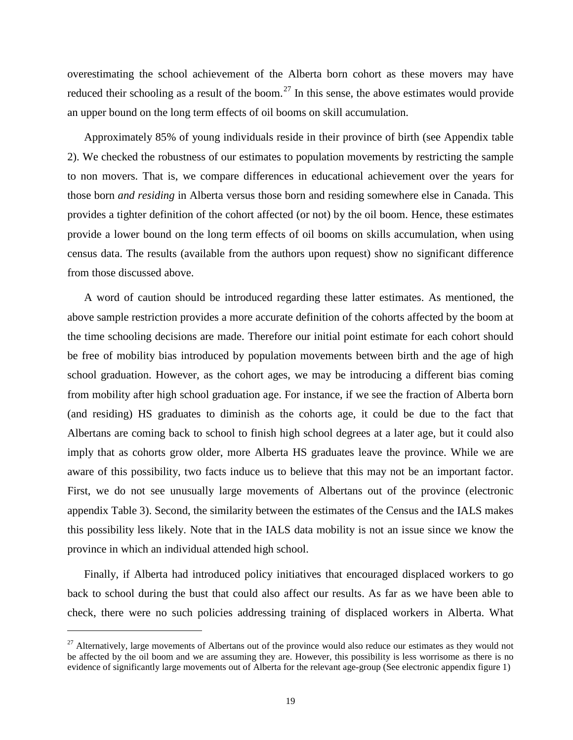overestimating the school achievement of the Alberta born cohort as these movers may have reduced their schooling as a result of the boom.<sup>[27](#page-17-1)</sup> In this sense, the above estimates would provide an upper bound on the long term effects of oil booms on skill accumulation.

Approximately 85% of young individuals reside in their province of birth (see Appendix table 2). We checked the robustness of our estimates to population movements by restricting the sample to non movers. That is, we compare differences in educational achievement over the years for those born *and residing* in Alberta versus those born and residing somewhere else in Canada. This provides a tighter definition of the cohort affected (or not) by the oil boom. Hence, these estimates provide a lower bound on the long term effects of oil booms on skills accumulation, when using census data. The results (available from the authors upon request) show no significant difference from those discussed above.

A word of caution should be introduced regarding these latter estimates. As mentioned, the above sample restriction provides a more accurate definition of the cohorts affected by the boom at the time schooling decisions are made. Therefore our initial point estimate for each cohort should be free of mobility bias introduced by population movements between birth and the age of high school graduation. However, as the cohort ages, we may be introducing a different bias coming from mobility after high school graduation age. For instance, if we see the fraction of Alberta born (and residing) HS graduates to diminish as the cohorts age, it could be due to the fact that Albertans are coming back to school to finish high school degrees at a later age, but it could also imply that as cohorts grow older, more Alberta HS graduates leave the province. While we are aware of this possibility, two facts induce us to believe that this may not be an important factor. First, we do not see unusually large movements of Albertans out of the province (electronic appendix Table 3). Second, the similarity between the estimates of the Census and the IALS makes this possibility less likely. Note that in the IALS data mobility is not an issue since we know the province in which an individual attended high school.

Finally, if Alberta had introduced policy initiatives that encouraged displaced workers to go back to school during the bust that could also affect our results. As far as we have been able to check, there were no such policies addressing training of displaced workers in Alberta. What

<sup>&</sup>lt;sup>27</sup> Alternatively, large movements of Albertans out of the province would also reduce our estimates as they would not be affected by the oil boom and we are assuming they are. However, this possibility is less worrisome as there is no evidence of significantly large movements out of Alberta for the relevant age-group (See electronic appendix figure 1)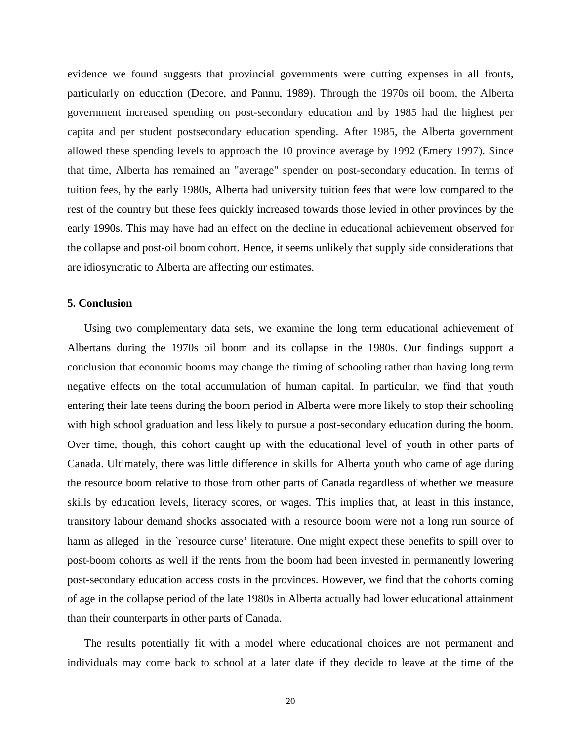evidence we found suggests that provincial governments were cutting expenses in all fronts, particularly on education (Decore, and Pannu, 1989). Through the 1970s oil boom, the Alberta government increased spending on post-secondary education and by 1985 had the highest per capita and per student postsecondary education spending. After 1985, the Alberta government allowed these spending levels to approach the 10 province average by 1992 (Emery 1997). Since that time, Alberta has remained an "average" spender on post-secondary education. In terms of tuition fees, by the early 1980s, Alberta had university tuition fees that were low compared to the rest of the country but these fees quickly increased towards those levied in other provinces by the early 1990s. This may have had an effect on the decline in educational achievement observed for the collapse and post-oil boom cohort. Hence, it seems unlikely that supply side considerations that are idiosyncratic to Alberta are affecting our estimates.

### **5. Conclusion**

Using two complementary data sets, we examine the long term educational achievement of Albertans during the 1970s oil boom and its collapse in the 1980s. Our findings support a conclusion that economic booms may change the timing of schooling rather than having long term negative effects on the total accumulation of human capital. In particular, we find that youth entering their late teens during the boom period in Alberta were more likely to stop their schooling with high school graduation and less likely to pursue a post-secondary education during the boom. Over time, though, this cohort caught up with the educational level of youth in other parts of Canada. Ultimately, there was little difference in skills for Alberta youth who came of age during the resource boom relative to those from other parts of Canada regardless of whether we measure skills by education levels, literacy scores, or wages. This implies that, at least in this instance, transitory labour demand shocks associated with a resource boom were not a long run source of harm as alleged in the 'resource curse' literature. One might expect these benefits to spill over to post-boom cohorts as well if the rents from the boom had been invested in permanently lowering post-secondary education access costs in the provinces. However, we find that the cohorts coming of age in the collapse period of the late 1980s in Alberta actually had lower educational attainment than their counterparts in other parts of Canada.

The results potentially fit with a model where educational choices are not permanent and individuals may come back to school at a later date if they decide to leave at the time of the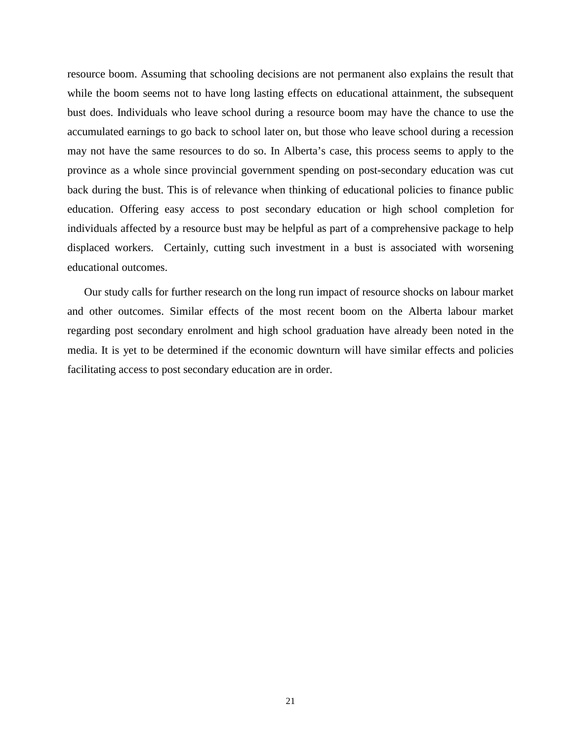resource boom. Assuming that schooling decisions are not permanent also explains the result that while the boom seems not to have long lasting effects on educational attainment, the subsequent bust does. Individuals who leave school during a resource boom may have the chance to use the accumulated earnings to go back to school later on, but those who leave school during a recession may not have the same resources to do so. In Alberta's case, this process seems to apply to the province as a whole since provincial government spending on post-secondary education was cut back during the bust. This is of relevance when thinking of educational policies to finance public education. Offering easy access to post secondary education or high school completion for individuals affected by a resource bust may be helpful as part of a comprehensive package to help displaced workers. Certainly, cutting such investment in a bust is associated with worsening educational outcomes.

Our study calls for further research on the long run impact of resource shocks on labour market and other outcomes. Similar effects of the most recent boom on the Alberta labour market regarding post secondary enrolment and high school graduation have already been noted in the media. It is yet to be determined if the economic downturn will have similar effects and policies facilitating access to post secondary education are in order.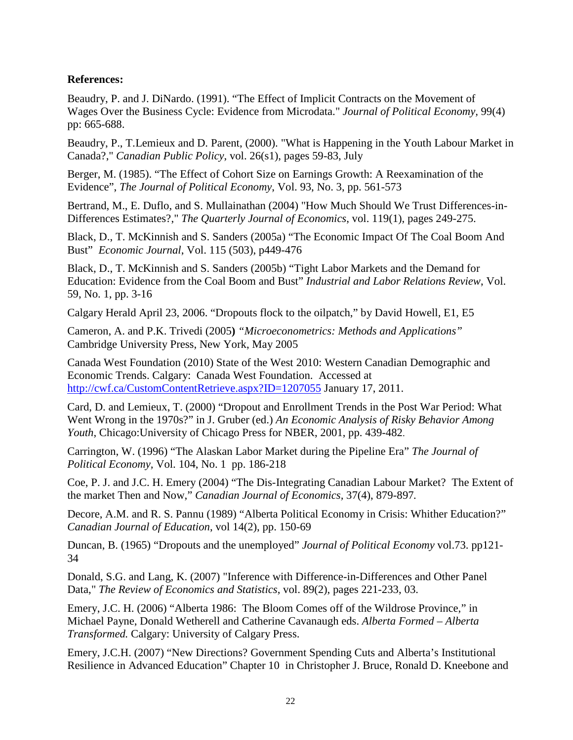## **References:**

Beaudry, P. and J. DiNardo. (1991). "The Effect of Implicit Contracts on the Movement of Wages Over the Business Cycle: Evidence from Microdata." *Journal of Political Economy,* 99(4) pp: 665-688.

Beaudry, P., T.Lemieux and D. Parent, (2000). ["What is Happening in the Youth Labour Market in](http://ideas.repec.org/a/cpp/issued/v26y2000is1p59-83.html)  [Canada?,](http://ideas.repec.org/a/cpp/issued/v26y2000is1p59-83.html)" *[Canadian Public Policy](http://ideas.repec.org/s/cpp/issued.html)*, vol. 26(s1), pages 59-83, July

Berger, M. (1985). "The Effect of Cohort Size on Earnings Growth: A Reexamination of the Evidence", *The Journal of Political Economy*, Vol. 93, No. 3, pp. 561-573

Bertrand, M., E. Duflo, and S. Mullainathan (2004) "How Much Should We Trust Differences-in-Differences Estimates?," *The Quarterly Journal of Economics*, vol. 119(1), pages 249-275.

[Black, D., T](javascript:__doLinkPostBack(). [McKinnish and S](javascript:__doLinkPostBack(). [Sanders \(2005a\) "](javascript:__doLinkPostBack()The Economic Impact Of The Coal Boom And Bust" *[Economic Journal](javascript:__doLinkPostBack()*, Vol. 115 (503), p449-476

[Black, D., T](javascript:__doLinkPostBack(). [McKinnish and S](javascript:__doLinkPostBack(). [Sanders \(2005b\) "](javascript:__doLinkPostBack()Tight Labor Markets and the Demand for Education: Evidence from the Coal Boom and Bust" *[Industrial and Labor Relations Review](http://www.jstor.org/action/showPublication?journalCode=indulaborelarevi)*, Vol. 59, No. 1, pp. 3-16

Calgary Herald April 23, 2006. "Dropouts flock to the oilpatch," by David Howell, E1, E5

Cameron, A. and P.K. Trivedi (2005**)** *"Microeconometrics: Methods and Applications"* Cambridge University Press, New York, May 2005

Canada West Foundation (2010) State of the West 2010: Western Canadian Demographic and Economic Trends. Calgary: Canada West Foundation. Accessed at <http://cwf.ca/CustomContentRetrieve.aspx?ID=1207055> January 17, 2011.

Card, D. and Lemieux, T. (2000) "Dropout and Enrollment Trends in the Post War Period: What Went Wrong in the 1970s?" in J. Gruber (ed.) *An Economic Analysis of Risky Behavior Among Youth*, Chicago:University of Chicago Press for NBER, 2001, pp. 439-482.

Carrington, W. (1996) "The Alaskan Labor Market during the Pipeline Era" *The Journal of Political Economy,* Vol. 104, No. 1 pp. 186-218

Coe, P. J. and J.C. H. Emery (2004) "The Dis-Integrating Canadian Labour Market? The Extent of the market Then and Now," *Canadian Journal of Economics,* 37(4), 879-897*.*

Decore, A.M. and R. S. Pannu (1989) "Alberta Political Economy in Crisis: Whither Education?" *Canadian Journal of Education*, vol 14(2), pp. 150-69

Duncan, B. (1965) "Dropouts and the unemployed" *Journal of Political Economy* vol.73. pp121- 34

Donald, S.G. and Lang, K. (2007) "Inference with Difference-in-Differences and Other Panel Data," *The Review of Economics and Statistics*, vol. 89(2), pages 221-233, 03.

Emery, J.C. H. (2006) "Alberta 1986: The Bloom Comes off of the Wildrose Province," in Michael Payne, Donald Wetherell and Catherine Cavanaugh eds. *Alberta Formed – Alberta Transformed.* Calgary: University of Calgary Press.

Emery, J.C.H. (2007) "New Directions? Government Spending Cuts and Alberta's Institutional Resilience in Advanced Education" Chapter 10 in Christopher J. Bruce, Ronald D. Kneebone and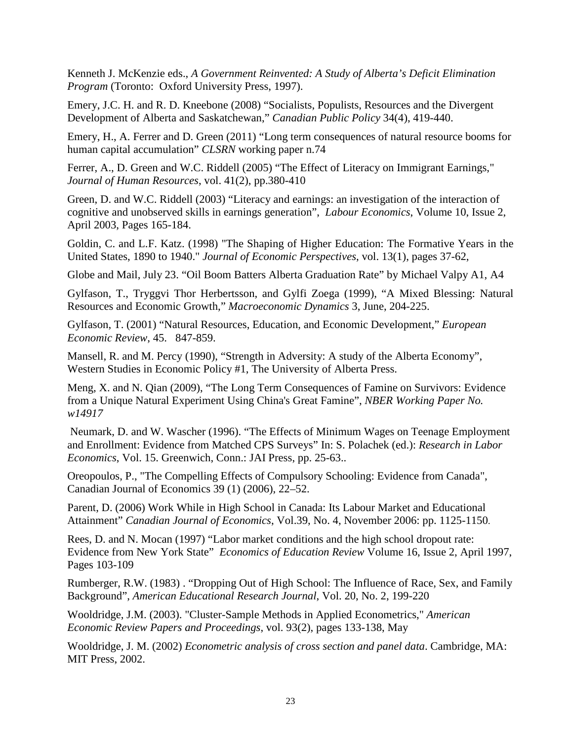Kenneth J. McKenzie eds., *A Government Reinvented: A Study of Alberta's Deficit Elimination Program* (Toronto: Oxford University Press, 1997).

Emery, J.C. H. and R. D. Kneebone (2008) "Socialists, Populists, Resources and the Divergent Development of Alberta and Saskatchewan," *Canadian Public Policy* 34(4), 419-440.

Emery, H., A. Ferrer and D. Green (2011) "Long term consequences of natural resource booms for human capital accumulation" *CLSRN* working paper n.74

Ferrer, A., D. Green and W.C. Riddell (2005) ["The Effect of Literacy on Immigrant Earnings,](http://ideas.repec.org/a/uwp/jhriss/v41y2006i2p380-410.html)" *[Journal of Human Resources](http://ideas.repec.org/s/uwp/jhriss.html)*, vol. 41(2), pp.380-410

Green, D. and W.C. Riddell (2003) "Literacy and earnings: an investigation of the interaction of cognitive and unobserved skills in earnings generation", *[Labour Economics](http://www.sciencedirect.com/science/journal/09275371)*, [Volume 10, Issue 2,](http://www.sciencedirect.com/science?_ob=PublicationURL&_tockey=%23TOC%236008%232003%23999899997%23408531%23FLA%23&_cdi=6008&_pubType=J&view=c&_auth=y&_acct=C000051253&_version=1&_urlVersion=0&_userid=1067480&md5=70b46d31e882a63616b0739d398b4da6) April 2003, Pages 165-184.

Goldin, C. and L.F. Katz. (1998) "The Shaping of Higher Education: The Formative Years in the United States, 1890 to 1940." *Journal of Economic Perspectives*, vol. 13(1), pages 37-62,

Globe and Mail, July 23. "Oil Boom Batters Alberta Graduation Rate" by Michael Valpy A1, A4

Gylfason, T., Tryggvi Thor Herbertsson, and Gylfi Zoega (1999), "A Mixed Blessing: Natural Resources and Economic Growth," *Macroeconomic Dynamics* 3, June, 204-225.

Gylfason, T. (2001) "Natural Resources, Education, and Economic Development," *European Economic Review*, 45. 847-859.

Mansell, R. and M. Percy (1990), "Strength in Adversity: A study of the Alberta Economy", Western Studies in Economic Policy #1, The University of Alberta Press.

Meng, X. and N. Qian (2009), "The Long Term Consequences of Famine on Survivors: Evidence from a Unique Natural Experiment Using China's Great Famine", *NBER Working Paper No. w14917*

Neumark, D. and W. Wascher (1996). "The Effects of Minimum Wages on Teenage Employment and Enrollment: Evidence from Matched CPS Surveys" In: S. Polachek (ed.): *Research in Labor Economics*, Vol. 15. Greenwich, Conn.: JAI Press, pp. 25-63..

Oreopoulos, P., "The Compelling Effects of Compulsory Schooling: Evidence from Canada", Canadian Journal of Economics 39 (1) (2006), 22–52.

Parent, D. (2006) Work While in High School in Canada: Its Labour Market and Educational Attainment" *Canadian Journal of Economics*, Vol.39, No. 4, November 2006: pp. 1125-1150.

Rees, D. and N. Mocan (1997) "Labor market conditions and the high school dropout rate: Evidence from New York State" *[Economics of Education Review](http://www.sciencedirect.com/science/journal/02727757)* [Volume 16, Issue 2,](http://www.sciencedirect.com/science?_ob=PublicationURL&_tockey=%23TOC%235921%231997%23999839997%2312408%23FLP%23&_cdi=5921&_pubType=J&view=c&_auth=y&_acct=C000051253&_version=1&_urlVersion=0&_userid=1067480&md5=aabd0d6216a654165673fe9b21901a43) April 1997, Pages 103-109

Rumberger, R.W. (1983) . "Dropping Out of High School: The Influence of Race, Sex, and Family Background", *American Educational Research Journal*, Vol. 20, No. 2, 199-220

Wooldridge, J.M. (2003). "Cluster-Sample Methods in Applied Econometrics," *American Economic Review Papers and Proceedings*, vol. 93(2), pages 133-138, May

Wooldridge, J. M. (2002) *Econometric analysis of cross section and panel data*. Cambridge, MA: MIT Press, 2002.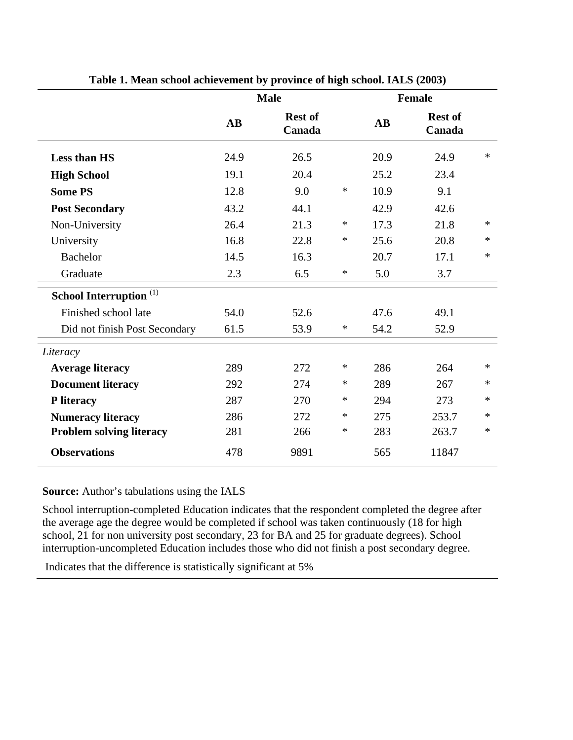|                                    |                        | <b>Male</b>              |        |                        | <b>Female</b>            |        |
|------------------------------------|------------------------|--------------------------|--------|------------------------|--------------------------|--------|
|                                    | $\mathbf{A}\mathbf{B}$ | <b>Rest of</b><br>Canada |        | $\mathbf{A}\mathbf{B}$ | <b>Rest of</b><br>Canada |        |
| <b>Less than HS</b>                | 24.9                   | 26.5                     |        | 20.9                   | 24.9                     | $\ast$ |
| <b>High School</b>                 | 19.1                   | 20.4                     |        | 25.2                   | 23.4                     |        |
| <b>Some PS</b>                     | 12.8                   | 9.0                      | $\ast$ | 10.9                   | 9.1                      |        |
| <b>Post Secondary</b>              | 43.2                   | 44.1                     |        | 42.9                   | 42.6                     |        |
| Non-University                     | 26.4                   | 21.3                     | $\ast$ | 17.3                   | 21.8                     | $\ast$ |
| University                         | 16.8                   | 22.8                     | $\ast$ | 25.6                   | 20.8                     | $\ast$ |
| <b>Bachelor</b>                    | 14.5                   | 16.3                     |        | 20.7                   | 17.1                     | $\ast$ |
| Graduate                           | 2.3                    | 6.5                      | $\ast$ | 5.0                    | 3.7                      |        |
| School Interruption <sup>(1)</sup> |                        |                          |        |                        |                          |        |
| Finished school late               | 54.0                   | 52.6                     |        | 47.6                   | 49.1                     |        |
| Did not finish Post Secondary      | 61.5                   | 53.9                     | $\ast$ | 54.2                   | 52.9                     |        |
| Literacy                           |                        |                          |        |                        |                          |        |
| <b>Average literacy</b>            | 289                    | 272                      | $\ast$ | 286                    | 264                      | $\ast$ |
| <b>Document literacy</b>           | 292                    | 274                      | $\ast$ | 289                    | 267                      | $\ast$ |
| P literacy                         | 287                    | 270                      | $\ast$ | 294                    | 273                      | $\ast$ |
| <b>Numeracy literacy</b>           | 286                    | 272                      | $\ast$ | 275                    | 253.7                    | $\ast$ |
| <b>Problem solving literacy</b>    | 281                    | 266                      | ∗      | 283                    | 263.7                    | $\ast$ |
| <b>Observations</b>                | 478                    | 9891                     |        | 565                    | 11847                    |        |

**Table 1. Mean school achievement by province of high school. IALS (2003)** 

## **Source:** Author's tabulations using the IALS

School interruption-completed Education indicates that the respondent completed the degree after the average age the degree would be completed if school was taken continuously (18 for high school, 21 for non university post secondary, 23 for BA and 25 for graduate degrees). School interruption-uncompleted Education includes those who did not finish a post secondary degree.

Indicates that the difference is statistically significant at 5%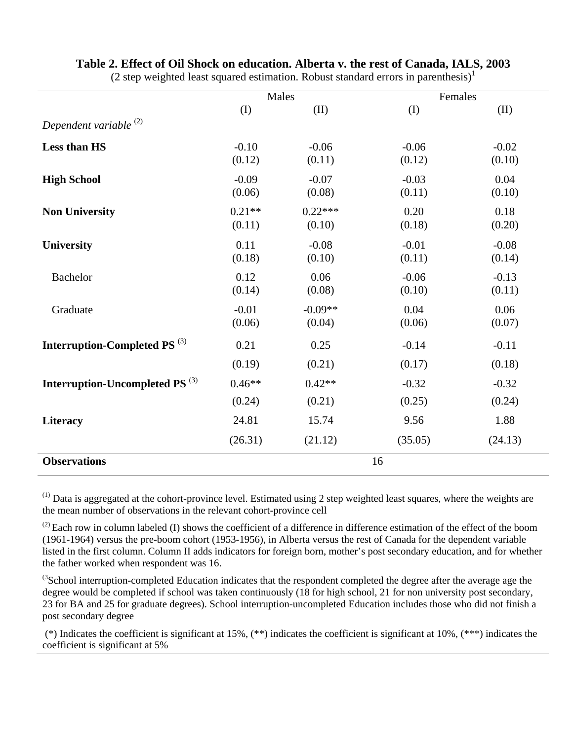|                                            | Males              |                     | Females           |                   |  |
|--------------------------------------------|--------------------|---------------------|-------------------|-------------------|--|
|                                            | (I)                | (II)                | (I)               | (II)              |  |
| Dependent variable <sup>(2)</sup>          |                    |                     |                   |                   |  |
| Less than HS                               | $-0.10$<br>(0.12)  | $-0.06$<br>(0.11)   | $-0.06$<br>(0.12) | $-0.02$<br>(0.10) |  |
| <b>High School</b>                         | $-0.09$<br>(0.06)  | $-0.07$<br>(0.08)   | $-0.03$<br>(0.11) | 0.04<br>(0.10)    |  |
| <b>Non University</b>                      | $0.21**$<br>(0.11) | $0.22***$<br>(0.10) | 0.20<br>(0.18)    | 0.18<br>(0.20)    |  |
| <b>University</b>                          | 0.11<br>(0.18)     | $-0.08$<br>(0.10)   | $-0.01$<br>(0.11) | $-0.08$<br>(0.14) |  |
| <b>Bachelor</b>                            | 0.12<br>(0.14)     | 0.06<br>(0.08)      | $-0.06$<br>(0.10) | $-0.13$<br>(0.11) |  |
| Graduate                                   | $-0.01$<br>(0.06)  | $-0.09**$<br>(0.04) | 0.04<br>(0.06)    | 0.06<br>(0.07)    |  |
| Interruption-Completed PS <sup>(3)</sup>   | 0.21               | 0.25                | $-0.14$           | $-0.11$           |  |
|                                            | (0.19)             | (0.21)              | (0.17)            | (0.18)            |  |
| Interruption-Uncompleted PS <sup>(3)</sup> | $0.46**$           | $0.42**$            | $-0.32$           | $-0.32$           |  |
|                                            | (0.24)             | (0.21)              | (0.25)            | (0.24)            |  |
| Literacy                                   | 24.81              | 15.74               | 9.56              | 1.88              |  |
|                                            | (26.31)            | (21.12)             | (35.05)           | (24.13)           |  |
| <b>Observations</b>                        | 16                 |                     |                   |                   |  |

# **Table 2. Effect of Oil Shock on education. Alberta v. the rest of Canada, IALS, 2003**

(2 step weighted least squared estimation. Robust standard errors in parenthesis) $<sup>1</sup>$ </sup>

(1) Data is aggregated at the cohort-province level. Estimated using 2 step weighted least squares, where the weights are the mean number of observations in the relevant cohort-province cell

 $^{(2)}$  Each row in column labeled (I) shows the coefficient of a difference in difference estimation of the effect of the boom (1961-1964) versus the pre-boom cohort (1953-1956), in Alberta versus the rest of Canada for the dependent variable listed in the first column. Column II adds indicators for foreign born, mother's post secondary education, and for whether the father worked when respondent was 16.

 ${}^{(3}$ School interruption-completed Education indicates that the respondent completed the degree after the average age the degree would be completed if school was taken continuously (18 for high school, 21 for non university post secondary, 23 for BA and 25 for graduate degrees). School interruption-uncompleted Education includes those who did not finish a post secondary degree

 (\*) Indicates the coefficient is significant at 15%, (\*\*) indicates the coefficient is significant at 10%, (\*\*\*) indicates the coefficient is significant at 5%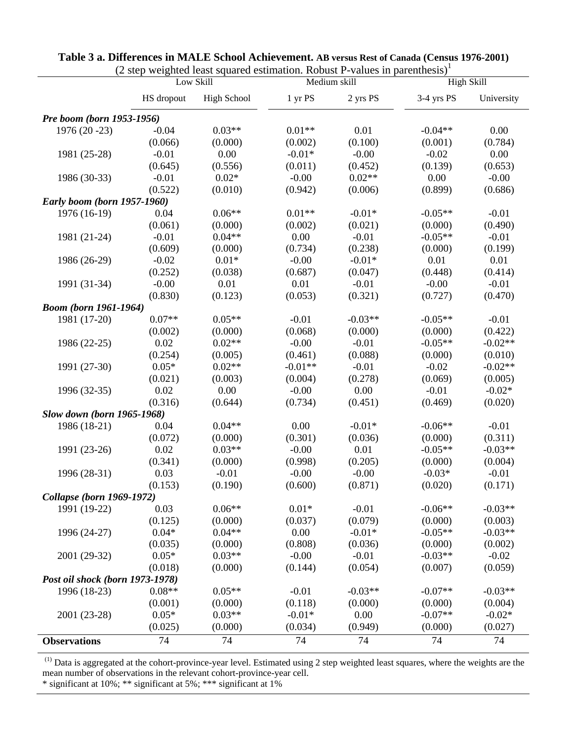|                                    |            | (2 sicp weighted icast squared estimation. Kobust I -values in parenthesis)<br>Low Skill |           | Medium skill |            | <b>High Skill</b> |
|------------------------------------|------------|------------------------------------------------------------------------------------------|-----------|--------------|------------|-------------------|
|                                    | HS dropout | High School                                                                              | 1 yr PS   | 2 yrs PS     | 3-4 yrs PS | University        |
| Pre boom (born 1953-1956)          |            |                                                                                          |           |              |            |                   |
| 1976 (20 -23)                      | $-0.04$    | $0.03**$                                                                                 | $0.01**$  | 0.01         | $-0.04**$  | 0.00              |
|                                    | (0.066)    | (0.000)                                                                                  | (0.002)   | (0.100)      | (0.001)    | (0.784)           |
| 1981 (25-28)                       | $-0.01$    | 0.00                                                                                     | $-0.01*$  | $-0.00$      | $-0.02$    | 0.00              |
|                                    | (0.645)    | (0.556)                                                                                  | (0.011)   | (0.452)      | (0.139)    | (0.653)           |
| 1986 (30-33)                       | $-0.01$    | $0.02*$                                                                                  | $-0.00$   | $0.02**$     | 0.00       | $-0.00$           |
|                                    | (0.522)    | (0.010)                                                                                  | (0.942)   | (0.006)      | (0.899)    | (0.686)           |
| <b>Early boom (born 1957-1960)</b> |            |                                                                                          |           |              |            |                   |
| 1976 (16-19)                       | 0.04       | $0.06**$                                                                                 | $0.01**$  | $-0.01*$     | $-0.05**$  | $-0.01$           |
|                                    | (0.061)    | (0.000)                                                                                  | (0.002)   | (0.021)      | (0.000)    | (0.490)           |
| 1981 (21-24)                       | $-0.01$    | $0.04**$                                                                                 | 0.00      | $-0.01$      | $-0.05**$  | $-0.01$           |
|                                    | (0.609)    | (0.000)                                                                                  | (0.734)   | (0.238)      | (0.000)    | (0.199)           |
| 1986 (26-29)                       | $-0.02$    | $0.01*$                                                                                  | $-0.00$   | $-0.01*$     | 0.01       | 0.01              |
|                                    | (0.252)    | (0.038)                                                                                  | (0.687)   | (0.047)      | (0.448)    | (0.414)           |
| 1991 (31-34)                       | $-0.00$    | 0.01                                                                                     | 0.01      | $-0.01$      | $-0.00$    | $-0.01$           |
|                                    | (0.830)    | (0.123)                                                                                  | (0.053)   | (0.321)      | (0.727)    | (0.470)           |
| <b>Boom</b> (born 1961-1964)       |            |                                                                                          |           |              |            |                   |
| 1981 (17-20)                       | $0.07**$   | $0.05**$                                                                                 | $-0.01$   | $-0.03**$    | $-0.05**$  | $-0.01$           |
|                                    | (0.002)    | (0.000)                                                                                  | (0.068)   | (0.000)      | (0.000)    | (0.422)           |
| 1986 (22-25)                       | 0.02       | $0.02**$                                                                                 | $-0.00$   | $-0.01$      | $-0.05**$  | $-0.02**$         |
|                                    | (0.254)    | (0.005)                                                                                  | (0.461)   | (0.088)      | (0.000)    | (0.010)           |
| 1991 (27-30)                       | $0.05*$    | $0.02**$                                                                                 | $-0.01**$ | $-0.01$      | $-0.02$    | $-0.02**$         |
|                                    | (0.021)    | (0.003)                                                                                  | (0.004)   | (0.278)      | (0.069)    | (0.005)           |
| 1996 (32-35)                       | 0.02       | 0.00                                                                                     | $-0.00$   | 0.00         | $-0.01$    | $-0.02*$          |
|                                    | (0.316)    | (0.644)                                                                                  | (0.734)   | (0.451)      | (0.469)    | (0.020)           |
| <b>Slow down (born 1965-1968)</b>  |            |                                                                                          |           |              |            |                   |
| 1986 (18-21)                       | 0.04       | $0.04**$                                                                                 | 0.00      | $-0.01*$     | $-0.06**$  | $-0.01$           |
|                                    | (0.072)    | (0.000)                                                                                  | (0.301)   | (0.036)      | (0.000)    | (0.311)           |
| 1991 (23-26)                       | 0.02       | $0.03**$                                                                                 | $-0.00$   | 0.01         | $-0.05**$  | $-0.03**$         |
|                                    | (0.341)    | (0.000)                                                                                  | (0.998)   | (0.205)      | (0.000)    | (0.004)           |
| 1996 (28-31)                       | 0.03       | $-0.01$                                                                                  | $-0.00$   | $-0.00$      | $-0.03*$   | $-0.01$           |
|                                    | (0.153)    | (0.190)                                                                                  | (0.600)   | (0.871)      | (0.020)    | (0.171)           |
| Collapse (born 1969-1972)          |            |                                                                                          |           |              |            |                   |
| 1991 (19-22)                       | 0.03       | $0.06**$                                                                                 | $0.01*$   | $-0.01$      | $-0.06**$  | $-0.03**$         |
|                                    | (0.125)    | (0.000)                                                                                  | (0.037)   | (0.079)      | (0.000)    | (0.003)           |
| 1996 (24-27)                       | $0.04*$    | $0.04**$                                                                                 | 0.00      | $-0.01*$     | $-0.05**$  | $-0.03**$         |
|                                    | (0.035)    | (0.000)                                                                                  | (0.808)   | (0.036)      | (0.000)    | (0.002)           |
| 2001 (29-32)                       | $0.05*$    | $0.03**$                                                                                 | $-0.00$   | $-0.01$      | $-0.03**$  | $-0.02$           |
|                                    | (0.018)    | (0.000)                                                                                  | (0.144)   | (0.054)      | (0.007)    | (0.059)           |
| Post oil shock (born 1973-1978)    |            |                                                                                          |           |              |            |                   |
| 1996 (18-23)                       | $0.08**$   | $0.05**$                                                                                 | $-0.01$   | $-0.03**$    | $-0.07**$  | $-0.03**$         |
|                                    | (0.001)    | (0.000)                                                                                  | (0.118)   | (0.000)      | (0.000)    | (0.004)           |
| 2001 (23-28)                       | $0.05*$    | $0.03**$                                                                                 | $-0.01*$  | 0.00         | $-0.07**$  | $-0.02*$          |
|                                    | (0.025)    | (0.000)                                                                                  | (0.034)   | (0.949)      | (0.000)    | (0.027)           |
| <b>Observations</b>                | 74         | 74                                                                                       | 74        | 74           | 74         | 74                |

| Table 3 a. Differences in MALE School Achievement. AB versus Rest of Canada (Census 1976-2001) |  |
|------------------------------------------------------------------------------------------------|--|
| $(2 \text{ step weighted least squared estimation. Robust P-values in parentheses})^T$         |  |

 $<sup>(1)</sup>$  Data is aggregated at the cohort-province-year level. Estimated using 2 step weighted least squares, where the weights are the</sup> mean number of observations in the relevant cohort-province-year cell.

\* significant at 10%; \*\* significant at 5%; \*\*\* significant at 1%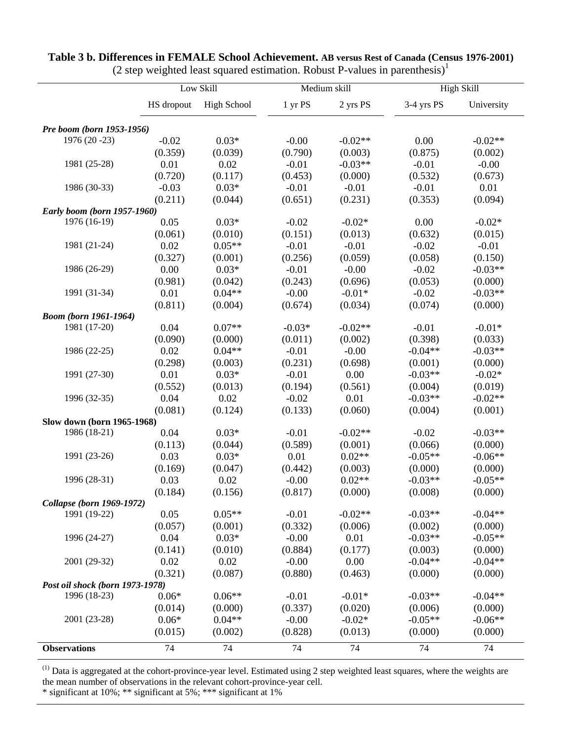|                                 |            | $(2)$ step weighted foust squared estimation. Hostast T values in parenthesis<br>Low Skill |          | Medium skill |            | <b>High Skill</b> |
|---------------------------------|------------|--------------------------------------------------------------------------------------------|----------|--------------|------------|-------------------|
|                                 | HS dropout | <b>High School</b>                                                                         | 1 yr PS  | 2 yrs PS     | 3-4 yrs PS | University        |
|                                 |            |                                                                                            |          |              |            |                   |
| Pre boom (born 1953-1956)       |            |                                                                                            |          |              |            |                   |
| 1976 (20 - 23)                  | $-0.02$    | $0.03*$                                                                                    | $-0.00$  | $-0.02**$    | 0.00       | $-0.02**$         |
|                                 | (0.359)    | (0.039)                                                                                    | (0.790)  | (0.003)      | (0.875)    | (0.002)           |
| 1981 (25-28)                    | 0.01       | 0.02                                                                                       | $-0.01$  | $-0.03**$    | $-0.01$    | $-0.00$           |
|                                 | (0.720)    | (0.117)                                                                                    | (0.453)  | (0.000)      | (0.532)    | (0.673)           |
| 1986 (30-33)                    | $-0.03$    | $0.03*$                                                                                    | $-0.01$  | $-0.01$      | $-0.01$    | 0.01              |
|                                 | (0.211)    | (0.044)                                                                                    | (0.651)  | (0.231)      | (0.353)    | (0.094)           |
| Early boom (born 1957-1960)     |            |                                                                                            |          |              |            |                   |
| 1976 (16-19)                    | 0.05       | $0.03*$                                                                                    | $-0.02$  | $-0.02*$     | 0.00       | $-0.02*$          |
|                                 | (0.061)    | (0.010)                                                                                    | (0.151)  | (0.013)      | (0.632)    | (0.015)           |
| 1981 (21-24)                    | 0.02       | $0.05**$                                                                                   | $-0.01$  | $-0.01$      | $-0.02$    | $-0.01$           |
|                                 | (0.327)    | (0.001)                                                                                    | (0.256)  | (0.059)      | (0.058)    | (0.150)           |
| 1986 (26-29)                    | 0.00       | $0.03*$                                                                                    | $-0.01$  | $-0.00$      | $-0.02$    | $-0.03**$         |
|                                 | (0.981)    | (0.042)                                                                                    | (0.243)  | (0.696)      | (0.053)    | (0.000)           |
| 1991 (31-34)                    | 0.01       | $0.04**$                                                                                   | $-0.00$  | $-0.01*$     | $-0.02$    | $-0.03**$         |
|                                 | (0.811)    | (0.004)                                                                                    | (0.674)  | (0.034)      | (0.074)    | (0.000)           |
| <b>Boom</b> (born 1961-1964)    |            |                                                                                            |          |              |            |                   |
| 1981 (17-20)                    | 0.04       | $0.07**$                                                                                   | $-0.03*$ | $-0.02**$    | $-0.01$    | $-0.01*$          |
|                                 | (0.090)    | (0.000)                                                                                    | (0.011)  | (0.002)      | (0.398)    | (0.033)           |
| 1986 (22-25)                    | 0.02       | $0.04**$                                                                                   | $-0.01$  | $-0.00$      | $-0.04**$  | $-0.03**$         |
|                                 | (0.298)    | (0.003)                                                                                    | (0.231)  | (0.698)      | (0.001)    | (0.000)           |
| 1991 (27-30)                    | 0.01       | $0.03*$                                                                                    | $-0.01$  | 0.00         | $-0.03**$  | $-0.02*$          |
|                                 | (0.552)    | (0.013)                                                                                    | (0.194)  | (0.561)      | (0.004)    | (0.019)           |
| 1996 (32-35)                    | 0.04       | 0.02                                                                                       | $-0.02$  | 0.01         | $-0.03**$  | $-0.02**$         |
|                                 | (0.081)    | (0.124)                                                                                    | (0.133)  | (0.060)      | (0.004)    | (0.001)           |
| Slow down (born 1965-1968)      |            |                                                                                            |          |              |            |                   |
| 1986 (18-21)                    | 0.04       | $0.03*$                                                                                    | $-0.01$  | $-0.02**$    | $-0.02$    | $-0.03**$         |
|                                 | (0.113)    | (0.044)                                                                                    | (0.589)  | (0.001)      | (0.066)    | (0.000)           |
| 1991 (23-26)                    | 0.03       | $0.03*$                                                                                    | 0.01     | $0.02**$     | $-0.05**$  | $-0.06**$         |
|                                 | (0.169)    | (0.047)                                                                                    | (0.442)  | (0.003)      | (0.000)    | (0.000)           |
| 1996 (28-31)                    | 0.03       | 0.02                                                                                       | $-0.00$  | $0.02**$     | $-0.03**$  | $-0.05**$         |
|                                 | (0.184)    | (0.156)                                                                                    | (0.817)  | (0.000)      | (0.008)    | (0.000)           |
| Collapse (born 1969-1972)       |            |                                                                                            |          |              |            |                   |
| 1991 (19-22)                    | 0.05       | $0.05**$                                                                                   | $-0.01$  | $-0.02**$    | $-0.03**$  | $-0.04**$         |
|                                 | (0.057)    | (0.001)                                                                                    | (0.332)  | (0.006)      | (0.002)    | (0.000)           |
| 1996 (24-27)                    | 0.04       | $0.03*$                                                                                    | $-0.00$  | 0.01         | $-0.03**$  | $-0.05**$         |
|                                 | (0.141)    | (0.010)                                                                                    | (0.884)  | (0.177)      | (0.003)    | (0.000)           |
| 2001 (29-32)                    | 0.02       | 0.02                                                                                       | $-0.00$  | 0.00         | $-0.04**$  | $-0.04**$         |
|                                 | (0.321)    | (0.087)                                                                                    | (0.880)  | (0.463)      | (0.000)    | (0.000)           |
| Post oil shock (born 1973-1978) |            |                                                                                            |          |              |            |                   |
| 1996 (18-23)                    | $0.06*$    | $0.06**$                                                                                   | $-0.01$  | $-0.01*$     | $-0.03**$  | $-0.04**$         |
|                                 | (0.014)    | (0.000)                                                                                    | (0.337)  | (0.020)      | (0.006)    | (0.000)           |
| 2001 (23-28)                    | $0.06*$    | $0.04**$                                                                                   | $-0.00$  | $-0.02*$     | $-0.05**$  | $-0.06**$         |
|                                 | (0.015)    | (0.002)                                                                                    | (0.828)  | (0.013)      | (0.000)    | (0.000)           |
| <b>Observations</b>             | 74         | 74                                                                                         | 74       | 74           | 74         | 74                |

#### **Table 3 b. Differences in FEMALE School Achievement. AB versus Rest of Canada (Census 1976-2001)** (2 step weighted least squared estimation. Robust P-values in parenthesis)<sup>1</sup>

 $<sup>(1)</sup>$  Data is aggregated at the cohort-province-year level. Estimated using 2 step weighted least squares, where the weights are</sup> the mean number of observations in the relevant cohort-province-year cell.

\* significant at 10%; \*\* significant at 5%; \*\*\* significant at 1%

l,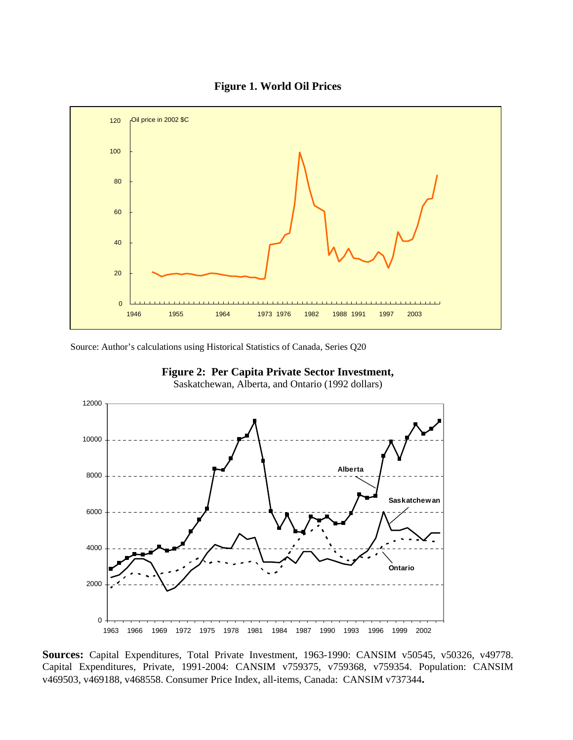



Source: Author's calculations using Historical Statistics of Canada, Series Q20



![](_page_27_Figure_4.jpeg)

Saskatchewan, Alberta, and Ontario (1992 dollars)

**Sources:** Capital Expenditures, Total Private Investment, 1963-1990: CANSIM v50545, v50326, v49778. Capital Expenditures, Private, 1991-2004: CANSIM v759375, v759368, v759354. Population: CANSIM v469503, v469188, v468558. Consumer Price Index, all-items, Canada: CANSIM v737344**.**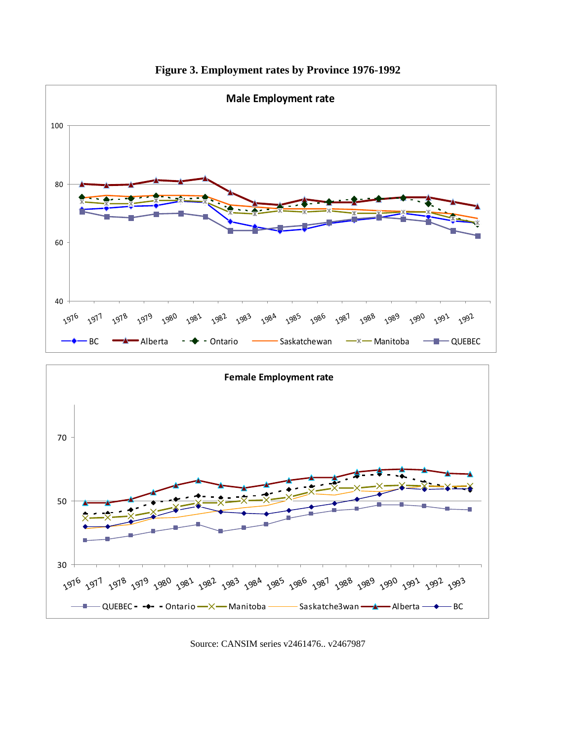![](_page_28_Figure_0.jpeg)

**Figure 3. Employment rates by Province 1976-1992** 

![](_page_28_Figure_2.jpeg)

Source: CANSIM series v2461476.. v2467987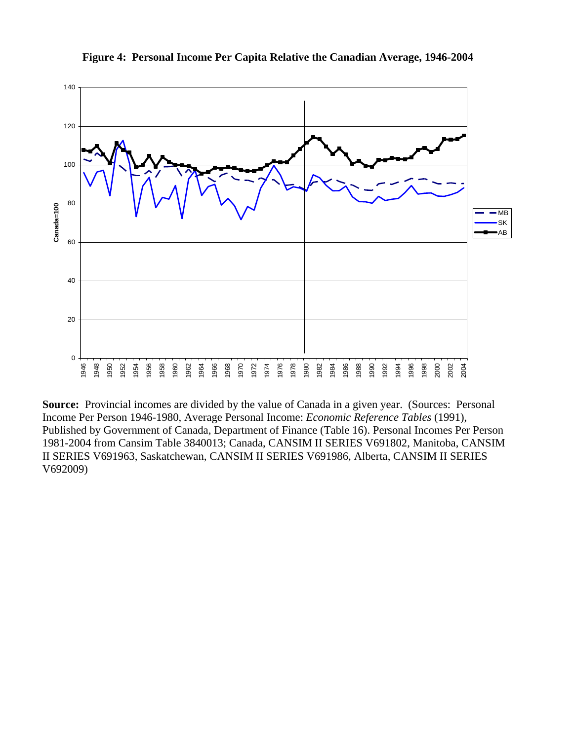![](_page_29_Figure_0.jpeg)

**Figure 4: Personal Income Per Capita Relative the Canadian Average, 1946-2004** 

**Source:** Provincial incomes are divided by the value of Canada in a given year. (Sources: Personal Income Per Person 1946-1980, Average Personal Income: *Economic Reference Tables* (1991), Published by Government of Canada, Department of Finance (Table 16). Personal Incomes Per Person 1981-2004 from Cansim Table 3840013; Canada, CANSIM II SERIES V691802, Manitoba, CANSIM II SERIES V691963, Saskatchewan, CANSIM II SERIES V691986, Alberta, CANSIM II SERIES V692009)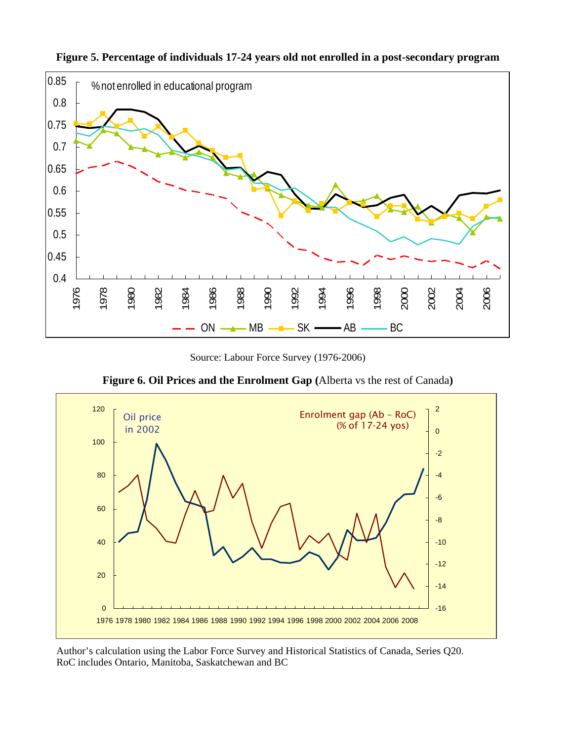![](_page_30_Figure_0.jpeg)

**Figure 5. Percentage of individuals 17-24 years old not enrolled in a post-secondary program** 

Source: Labour Force Survey (1976-2006)

**Figure 6. Oil Prices and the Enrolment Gap (**Alberta vs the rest of Canada**)** 

![](_page_30_Figure_4.jpeg)

Author's calculation using the Labor Force Survey and Historical Statistics of Canada, Series Q20. RoC includes Ontario, Manitoba, Saskatchewan and BC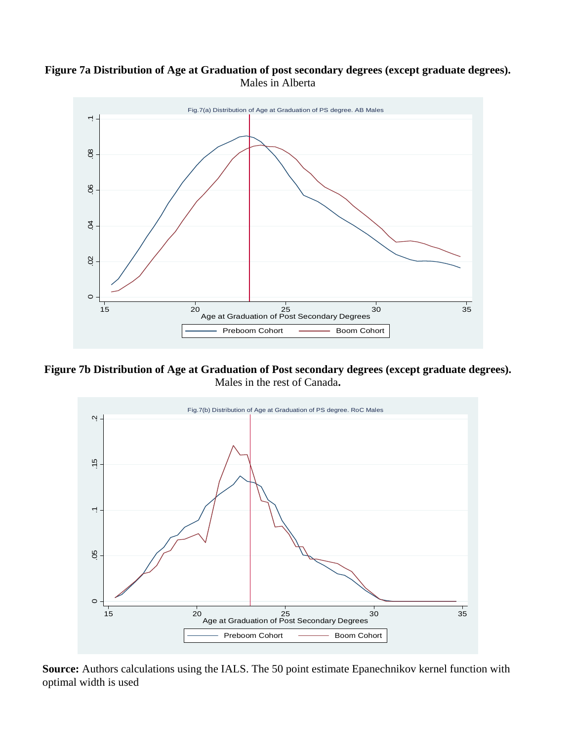# **Figure 7a Distribution of Age at Graduation of post secondary degrees (except graduate degrees).**  Males in Alberta

![](_page_31_Figure_1.jpeg)

**Figure 7b Distribution of Age at Graduation of Post secondary degrees (except graduate degrees).**  Males in the rest of Canada**.** 

![](_page_31_Figure_3.jpeg)

**Source:** Authors calculations using the IALS. The 50 point estimate Epanechnikov kernel function with optimal width is used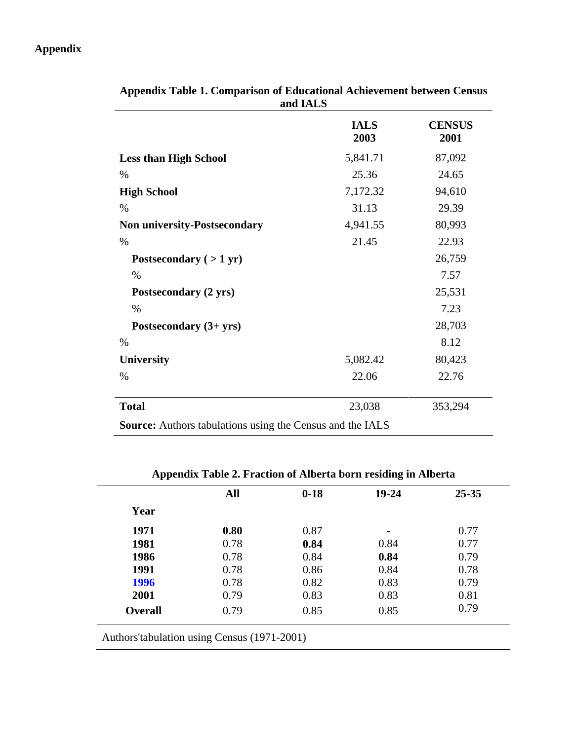# **Appendix**

 $\overline{\phantom{a}}$ 

|                                                                  | <b>IALS</b><br>2003 | <b>CENSUS</b> |
|------------------------------------------------------------------|---------------------|---------------|
|                                                                  |                     | 2001          |
| <b>Less than High School</b>                                     | 5,841.71            | 87,092        |
| $\%$                                                             | 25.36               | 24.65         |
| <b>High School</b>                                               | 7,172.32            | 94,610        |
| $\%$                                                             | 31.13               | 29.39         |
| <b>Non university-Postsecondary</b>                              | 4,941.55            | 80,993        |
| $\%$                                                             | 21.45               | 22.93         |
| Postsecondary $(>1 \text{ yr})$                                  |                     | 26,759        |
| $\%$                                                             |                     | 7.57          |
| Postsecondary (2 yrs)                                            |                     | 25,531        |
| $\%$                                                             |                     | 7.23          |
| Postsecondary $(3 + yrs)$                                        |                     | 28,703        |
| $\%$                                                             |                     | 8.12          |
| <b>University</b>                                                | 5,082.42            | 80,423        |
| $\%$                                                             | 22.06               | 22.76         |
| <b>Total</b>                                                     | 23,038              | 353,294       |
| <b>Source:</b> Authors tabulations using the Census and the IALS |                     |               |

**Appendix Table 1. Comparison of Educational Achievement between Census and IALS** 

# **Appendix Table 2. Fraction of Alberta born residing in Alberta**

|                | All  | $0-18$ | $19 - 24$ | $25 - 35$ |
|----------------|------|--------|-----------|-----------|
| Year           |      |        |           |           |
| 1971           | 0.80 | 0.87   |           | 0.77      |
| 1981           | 0.78 | 0.84   | 0.84      | 0.77      |
| 1986           | 0.78 | 0.84   | 0.84      | 0.79      |
| 1991           | 0.78 | 0.86   | 0.84      | 0.78      |
| 1996           | 0.78 | 0.82   | 0.83      | 0.79      |
| 2001           | 0.79 | 0.83   | 0.83      | 0.81      |
| <b>Overall</b> | 0.79 | 0.85   | 0.85      | 0.79      |

Authors'tabulation using Census (1971-2001)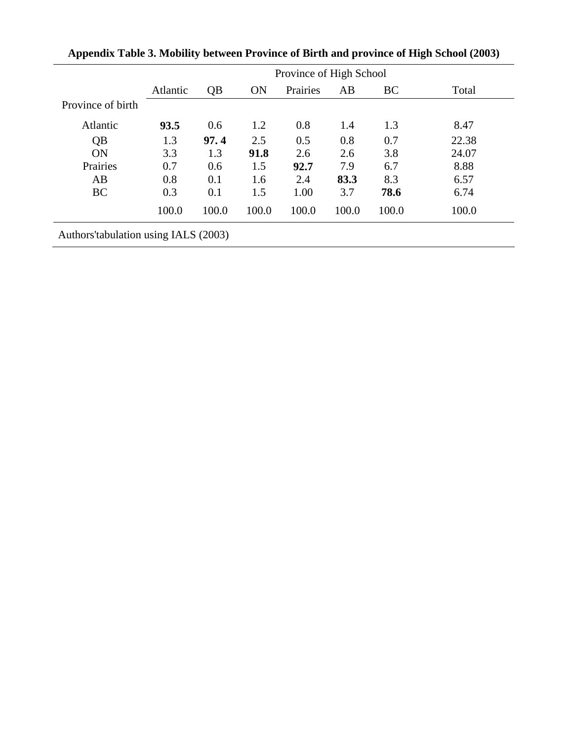|                                       | Province of High School |       |           |          |       |           |       |
|---------------------------------------|-------------------------|-------|-----------|----------|-------|-----------|-------|
|                                       | <b>Atlantic</b>         | QB    | <b>ON</b> | Prairies | AB    | <b>BC</b> | Total |
| Province of birth                     |                         |       |           |          |       |           |       |
| Atlantic                              | 93.5                    | 0.6   | 1.2       | 0.8      | 1.4   | 1.3       | 8.47  |
| QB                                    | 1.3                     | 97.4  | 2.5       | 0.5      | 0.8   | 0.7       | 22.38 |
| <b>ON</b>                             | 3.3                     | 1.3   | 91.8      | 2.6      | 2.6   | 3.8       | 24.07 |
| Prairies                              | 0.7                     | 0.6   | 1.5       | 92.7     | 7.9   | 6.7       | 8.88  |
| AB                                    | 0.8                     | 0.1   | 1.6       | 2.4      | 83.3  | 8.3       | 6.57  |
| <b>BC</b>                             | 0.3                     | 0.1   | 1.5       | 1.00     | 3.7   | 78.6      | 6.74  |
|                                       | 100.0                   | 100.0 | 100.0     | 100.0    | 100.0 | 100.0     | 100.0 |
| Authors' tabulation using IALS (2003) |                         |       |           |          |       |           |       |

| Appendix Table 3. Mobility between Province of Birth and province of High School (2003) |  |  |  |
|-----------------------------------------------------------------------------------------|--|--|--|
|                                                                                         |  |  |  |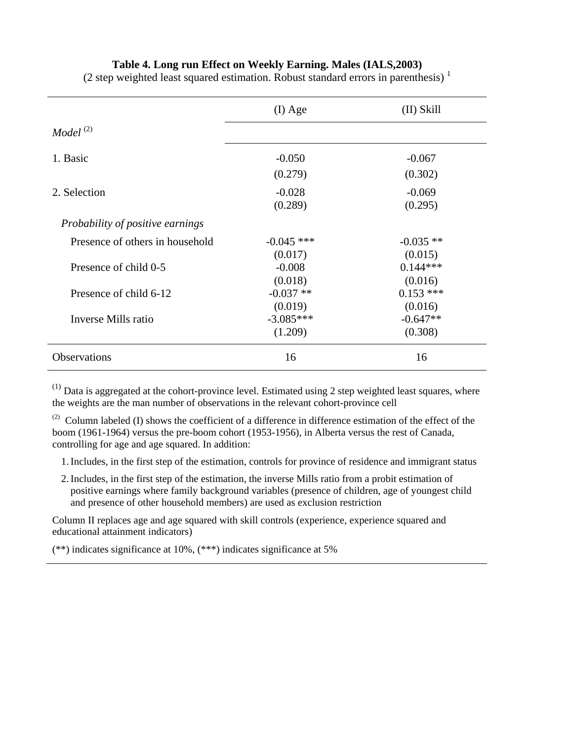## **Table 4. Long run Effect on Weekly Earning. Males (IALS,2003)**

|                                   | $(I)$ Age    | (II) Skill  |
|-----------------------------------|--------------|-------------|
| Model <sup><math>(2)</math></sup> |              |             |
| 1. Basic                          | $-0.050$     | $-0.067$    |
|                                   | (0.279)      | (0.302)     |
| 2. Selection                      | $-0.028$     | $-0.069$    |
|                                   | (0.289)      | (0.295)     |
| Probability of positive earnings  |              |             |
| Presence of others in household   | $-0.045$ *** | $-0.035$ ** |
|                                   | (0.017)      | (0.015)     |
| Presence of child 0-5             | $-0.008$     | $0.144***$  |
|                                   | (0.018)      | (0.016)     |
| Presence of child 6-12            | $-0.037**$   | $0.153$ *** |
|                                   | (0.019)      | (0.016)     |
| Inverse Mills ratio               | $-3.085***$  | $-0.647**$  |
|                                   | (1.209)      | (0.308)     |
| Observations                      | 16           | 16          |

(2 step weighted least squared estimation. Robust standard errors in parenthesis)<sup>1</sup>

 $(1)$  Data is aggregated at the cohort-province level. Estimated using 2 step weighted least squares, where the weights are the man number of observations in the relevant cohort-province cell

(2) Column labeled (I) shows the coefficient of a difference in difference estimation of the effect of the boom (1961-1964) versus the pre-boom cohort (1953-1956), in Alberta versus the rest of Canada, controlling for age and age squared. In addition:

1.Includes, in the first step of the estimation, controls for province of residence and immigrant status

2.Includes, in the first step of the estimation, the inverse Mills ratio from a probit estimation of positive earnings where family background variables (presence of children, age of youngest child and presence of other household members) are used as exclusion restriction

Column II replaces age and age squared with skill controls (experience, experience squared and educational attainment indicators)

(\*\*) indicates significance at 10%, (\*\*\*) indicates significance at 5%